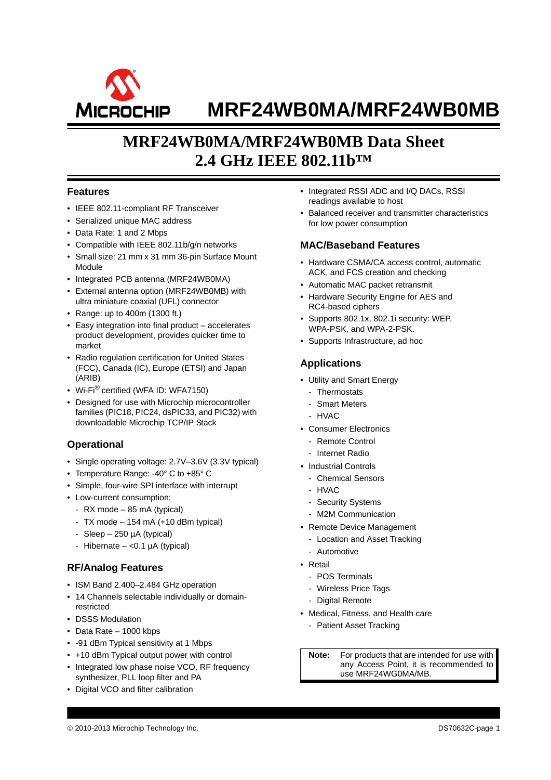

# **MRF24WB0MA/MRF24WB0MB Data Sheet 2.4 GHz IEEE 802.11b™**

#### **Features**

- IEEE 802.11-compliant RF Transceiver
- Serialized unique MAC address
- Data Rate: 1 and 2 Mbps
- Compatible with IEEE 802.11b/g/n networks
- Small size: 21 mm x 31 mm 36-pin Surface Mount Module
- Integrated PCB antenna (MRF24WB0MA)
- External antenna option (MRF24WB0MB) with ultra miniature coaxial (UFL) connector
- Range: up to 400m (1300 ft.)
- Easy integration into final product accelerates product development, provides quicker time to market
- Radio regulation certification for United States (FCC), Canada (IC), Europe (ETSI) and Japan (ARIB)
- Wi-Fi<sup>®</sup> certified (WFA ID: WFA7150)
- Designed for use with Microchip microcontroller families (PIC18, PIC24, dsPIC33, and PIC32) with downloadable Microchip TCP/IP Stack

### <span id="page-0-0"></span>**Operational**

- Single operating voltage: 2.7V–3.6V (3.3V typical)
- Temperature Range: -40° C to +85° C
- Simple, four-wire SPI interface with interrupt
- Low-current consumption:
- RX mode 85 mA (typical)
- TX mode  $-$  154 mA ( $+$ 10 dBm typical)
- Sleep 250 µA (typical)
- Hibernate  $-$  <0.1  $\mu$ A (typical)

### **RF/Analog Features**

- ISM Band 2.400–2.484 GHz operation
- 14 Channels selectable individually or domainrestricted
- DSSS Modulation
- Data Rate 1000 kbps
- -91 dBm Typical sensitivity at 1 Mbps
- +10 dBm Typical output power with control
- Integrated low phase noise VCO, RF frequency synthesizer, PLL loop filter and PA
- Digital VCO and filter calibration
- Integrated RSSI ADC and I/Q DACs, RSSI readings available to host
- Balanced receiver and transmitter characteristics for low power consumption

### **MAC/Baseband Features**

- Hardware CSMA/CA access control, automatic ACK, and FCS creation and checking
- Automatic MAC packet retransmit
- Hardware Security Engine for AES and RC4-based ciphers
- Supports 802.1x, 802.1i security: WEP, WPA-PSK, and WPA-2-PSK.
- Supports Infrastructure, ad hoc

### **Applications**

- Utility and Smart Energy
	- Thermostats
	- Smart Meters
	- HVAC
- Consumer Electronics
	- Remote Control
	- Internet Radio
- Industrial Controls
	- Chemical Sensors
	- HVAC
	- Security Systems
	- M2M Communication
- Remote Device Management
	- Location and Asset Tracking
	- Automotive
- Retail
	- POS Terminals
	- Wireless Price Tags
	- Digital Remote
- Medical, Fitness, and Health care
	- Patient Asset Tracking

**Note:** For products that are intended for use with any Access Point, it is recommended to use MRF24WG0MA/MB.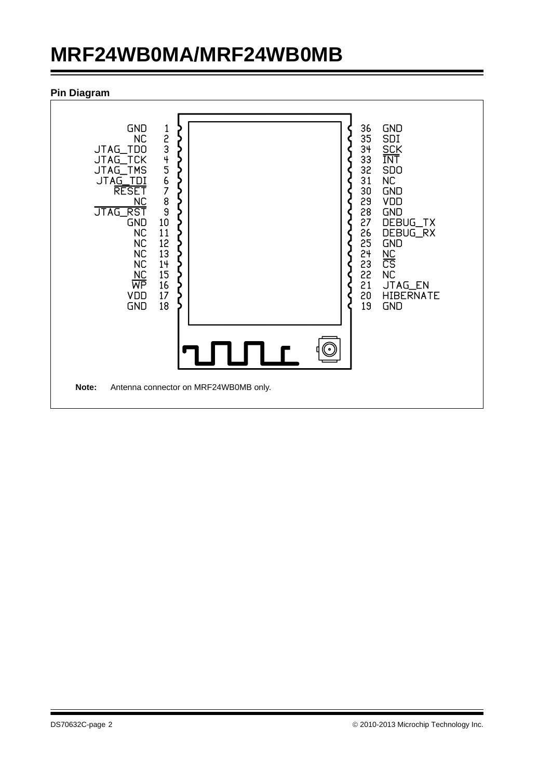### **Pin Diagram**

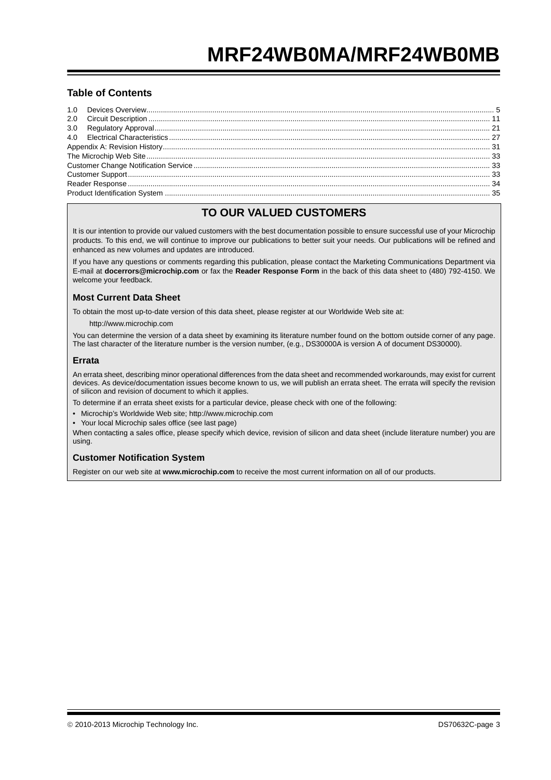### **Table of Contents**

### **TO OUR VALUED CUSTOMERS**

It is our intention to provide our valued customers with the best documentation possible to ensure successful use of your Microchip products. To this end, we will continue to improve our publications to better suit your needs. Our publications will be refined and enhanced as new volumes and updates are introduced.

If you have any questions or comments regarding this publication, please contact the Marketing Communications Department via E-mail at **docerrors@microchip.com** or fax the **Reader Response Form** in the back of this data sheet to (480) 792-4150. We welcome your feedback.

#### **Most Current Data Sheet**

To obtain the most up-to-date version of this data sheet, please register at our Worldwide Web site at:

#### http://www.microchip.com

You can determine the version of a data sheet by examining its literature number found on the bottom outside corner of any page. The last character of the literature number is the version number, (e.g., DS30000A is version A of document DS30000).

#### **Errata**

An errata sheet, describing minor operational differences from the data sheet and recommended workarounds, may exist for current devices. As device/documentation issues become known to us, we will publish an errata sheet. The errata will specify the revision of silicon and revision of document to which it applies.

To determine if an errata sheet exists for a particular device, please check with one of the following:

• Microchip's Worldwide Web site; http://www.microchip.com

• Your local Microchip sales office (see last page)

When contacting a sales office, please specify which device, revision of silicon and data sheet (include literature number) you are using.

#### **Customer Notification System**

Register on our web site at **www.microchip.com** to receive the most current information on all of our products.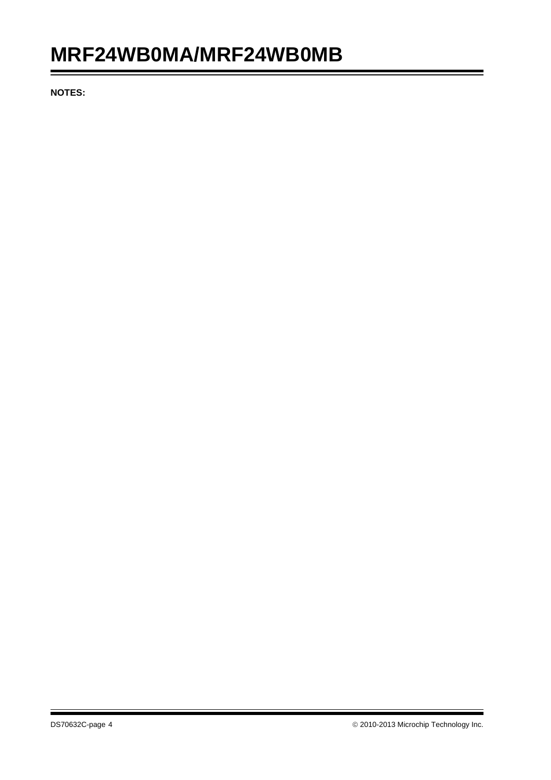**NOTES:**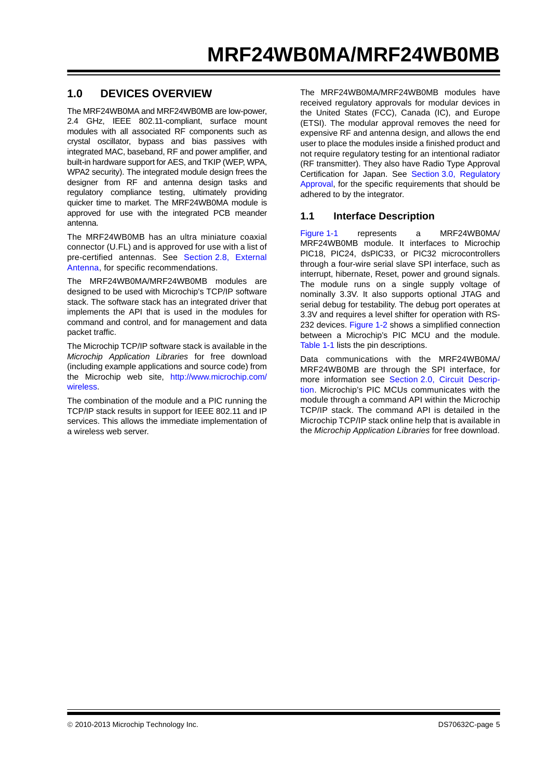# <span id="page-4-0"></span>**1.0 DEVICES OVERVIEW**

The MRF24WB0MA and MRF24WB0MB are low-power, 2.4 GHz, IEEE 802.11-compliant, surface mount modules with all associated RF components such as crystal oscillator, bypass and bias passives with integrated MAC, baseband, RF and power amplifier, and built-in hardware support for AES, and TKIP (WEP, WPA, WPA2 security). The integrated module design frees the designer from RF and antenna design tasks and regulatory compliance testing, ultimately providing quicker time to market. The MRF24WB0MA module is approved for use with the integrated PCB meander antenna.

The MRF24WB0MB has an ultra miniature coaxial connector (U.FL) and is approved for use with a list of pre-certified antennas. See [Section 2.8, External](#page-18-0) [Antenna](#page-18-0), for specific recommendations.

The MRF24WB0MA/MRF24WB0MB modules are designed to be used with Microchip's TCP/IP software stack. The software stack has an integrated driver that implements the API that is used in the modules for command and control, and for management and data packet traffic.

The Microchip TCP/IP software stack is available in the *Microchip Application Libraries* for free download (including example applications and source code) from the Microchip web site, http://www.microchip.com/ wireless.

The combination of the module and a PIC running the TCP/IP stack results in support for IEEE 802.11 and IP services. This allows the immediate implementation of a wireless web server.

The MRF24WB0MA/MRF24WB0MB modules have received regulatory approvals for modular devices in the United States (FCC), Canada (IC), and Europe (ETSI). The modular approval removes the need for expensive RF and antenna design, and allows the end user to place the modules inside a finished product and not require regulatory testing for an intentional radiator (RF transmitter). They also have Radio Type Approval Certification for Japan. See [Section 3.0, Regulatory](#page-20-1) [Approval](#page-20-1), for the specific requirements that should be adhered to by the integrator.

### **1.1 Interface Description**

[Figure 1-1](#page-5-0) represents a MRF24WB0MA/ MRF24WB0MB module. It interfaces to Microchip PIC18, PIC24, dsPIC33, or PIC32 microcontrollers through a four-wire serial slave SPI interface, such as interrupt, hibernate, Reset, power and ground signals. The module runs on a single supply voltage of nominally 3.3V. It also supports optional JTAG and serial debug for testability. The debug port operates at 3.3V and requires a level shifter for operation with RS-232 devices. [Figure 1-2](#page-5-1) shows a simplified connection between a Microchip's PIC MCU and the module. [Table 1-1](#page-6-0) lists the pin descriptions.

Data communications with the MRF24WB0MA/ MRF24WB0MB are through the SPI interface, for more information see [Section 2.0, Circuit Descrip](#page-10-1)[tion.](#page-10-1) Microchip's PIC MCUs communicates with the module through a command API within the Microchip TCP/IP stack. The command API is detailed in the Microchip TCP/IP stack online help that is available in the *Microchip Application Libraries* for free download.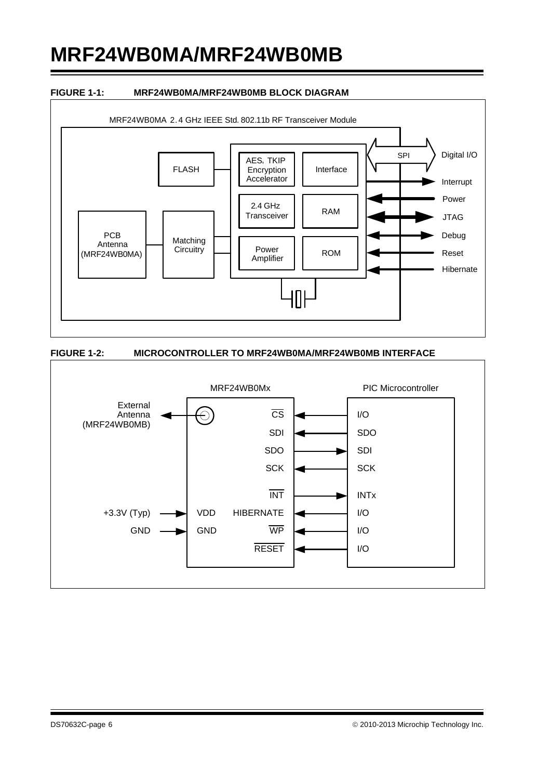#### <span id="page-5-0"></span>**FIGURE 1-1: MRF24WB0MA/MRF24WB0MB BLOCK DIAGRAM**



#### <span id="page-5-1"></span>**FIGURE 1-2: MICROCONTROLLER TO MRF24WB0MA/MRF24WB0MB INTERFACE**

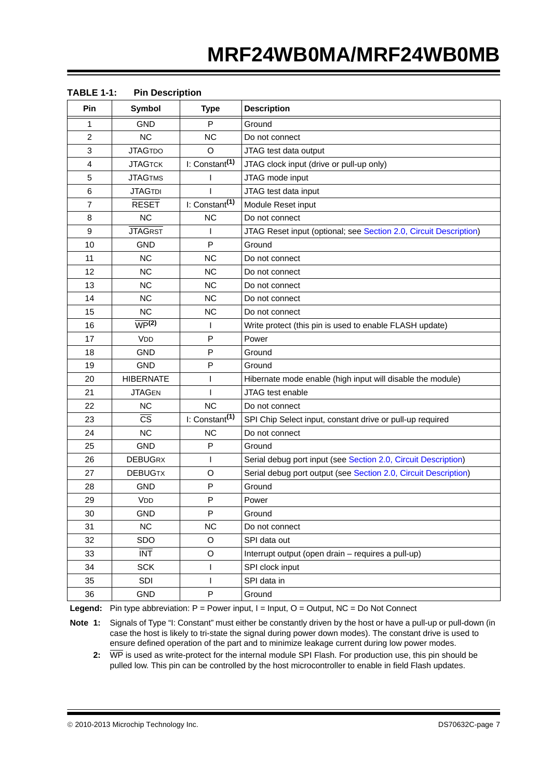| <b>Pin</b>     | Symbol                       | <b>Type</b>                | <b>Description</b>                                                |
|----------------|------------------------------|----------------------------|-------------------------------------------------------------------|
| 1              | <b>GND</b>                   | P                          | Ground                                                            |
| $\overline{2}$ | <b>NC</b>                    | <b>NC</b>                  | Do not connect                                                    |
| 3              | <b>JTAGTDO</b>               | O                          | JTAG test data output                                             |
| 4              | <b>JTAGTCK</b>               | I: Constant <sup>(1)</sup> | JTAG clock input (drive or pull-up only)                          |
| 5              | <b>JTAGTMS</b>               |                            | JTAG mode input                                                   |
| 6              | <b>JTAGTDI</b>               |                            | JTAG test data input                                              |
| $\overline{7}$ | <b>RESET</b>                 | I: Constant <sup>(1)</sup> | Module Reset input                                                |
| 8              | <b>NC</b>                    | <b>NC</b>                  | Do not connect                                                    |
| 9              | <b>JTAGRST</b>               | $\mathsf{I}$               | JTAG Reset input (optional; see Section 2.0, Circuit Description) |
| 10             | <b>GND</b>                   | P                          | Ground                                                            |
| 11             | <b>NC</b>                    | <b>NC</b>                  | Do not connect                                                    |
| 12             | <b>NC</b>                    | <b>NC</b>                  | Do not connect                                                    |
| 13             | <b>NC</b>                    | <b>NC</b>                  | Do not connect                                                    |
| 14             | <b>NC</b>                    | <b>NC</b>                  | Do not connect                                                    |
| 15             | <b>NC</b>                    | <b>NC</b>                  | Do not connect                                                    |
| 16             | $\overline{\text{WP}}^{(2)}$ |                            | Write protect (this pin is used to enable FLASH update)           |
| 17             | V <sub>DD</sub>              | P                          | Power                                                             |
| 18             | <b>GND</b>                   | P                          | Ground                                                            |
| 19             | <b>GND</b>                   | P                          | Ground                                                            |
| 20             | <b>HIBERNATE</b>             |                            | Hibernate mode enable (high input will disable the module)        |
| 21             | <b>JTAGEN</b>                | I                          | JTAG test enable                                                  |
| 22             | <b>NC</b>                    | <b>NC</b>                  | Do not connect                                                    |
| 23             | $\overline{\text{cs}}$       | I: Constant <sup>(1)</sup> | SPI Chip Select input, constant drive or pull-up required         |
| 24             | <b>NC</b>                    | <b>NC</b>                  | Do not connect                                                    |
| 25             | <b>GND</b>                   | P                          | Ground                                                            |
| 26             | <b>DEBUGRX</b>               | $\mathsf{I}$               | Serial debug port input (see Section 2.0, Circuit Description)    |
| 27             | <b>DEBUGTX</b>               | O                          | Serial debug port output (see Section 2.0, Circuit Description)   |
| 28             | <b>GND</b>                   | P                          | Ground                                                            |
| 29             | <b>V<sub>DD</sub></b>        | P                          | Power                                                             |
| 30             | GND                          | Р                          | Ground                                                            |
| 31             | <b>NC</b>                    | NC                         | Do not connect                                                    |
| 32             | SDO                          | $\mathsf O$                | SPI data out                                                      |
| 33             | $\overline{INT}$             | $\mathsf O$                | Interrupt output (open drain - requires a pull-up)                |
| 34             | <b>SCK</b>                   | L                          | SPI clock input                                                   |
| 35             | <b>SDI</b>                   | I                          | SPI data in                                                       |
| 36             | <b>GND</b>                   | P                          | Ground                                                            |

<span id="page-6-1"></span><span id="page-6-0"></span>**TABLE 1-1: Pin Description**

Legend: Pin type abbreviation: P = Power input, I = Input, O = Output, NC = Do Not Connect

**Note 1:** Signals of Type "I: Constant" must either be constantly driven by the host or have a pull-up or pull-down (in case the host is likely to tri-state the signal during power down modes). The constant drive is used to ensure defined operation of the part and to minimize leakage current during low power modes.

**2:** WP is used as write-protect for the internal module SPI Flash. For production use, this pin should be pulled low. This pin can be controlled by the host microcontroller to enable in field Flash updates.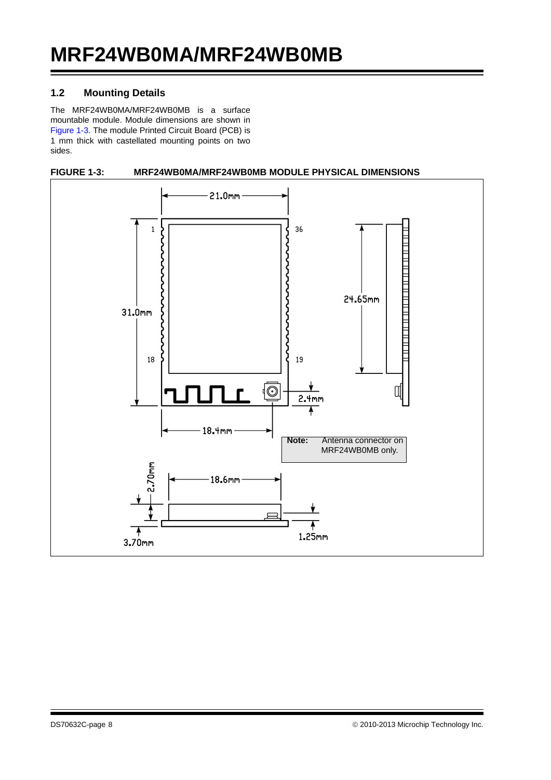### **1.2 Mounting Details**

The MRF24WB0MA/MRF24WB0MB is a surface mountable module. Module dimensions are shown in [Figure 1-3.](#page-7-0) The module Printed Circuit Board (PCB) is 1 mm thick with castellated mounting points on two sides.

<span id="page-7-0"></span>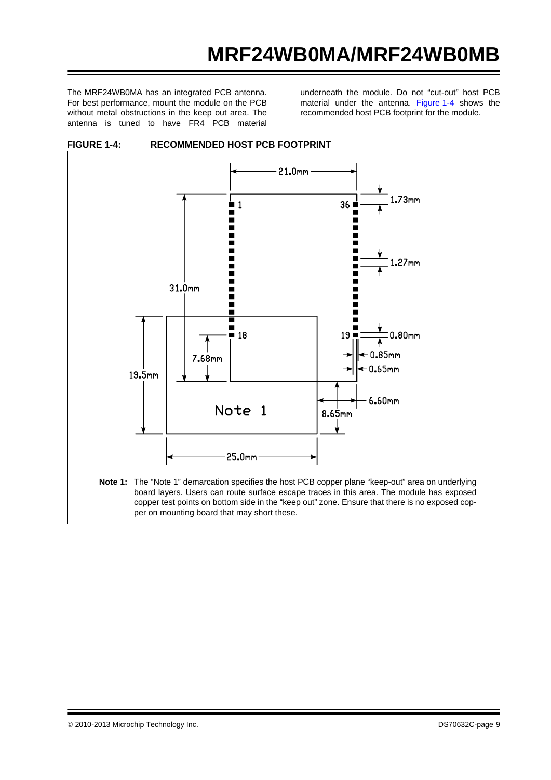The MRF24WB0MA has an integrated PCB antenna. For best performance, mount the module on the PCB without metal obstructions in the keep out area. The antenna is tuned to have FR4 PCB material underneath the module. Do not "cut-out" host PCB material under the antenna. [Figure 1-4](#page-8-0) shows the recommended host PCB footprint for the module.

<span id="page-8-1"></span><span id="page-8-0"></span>

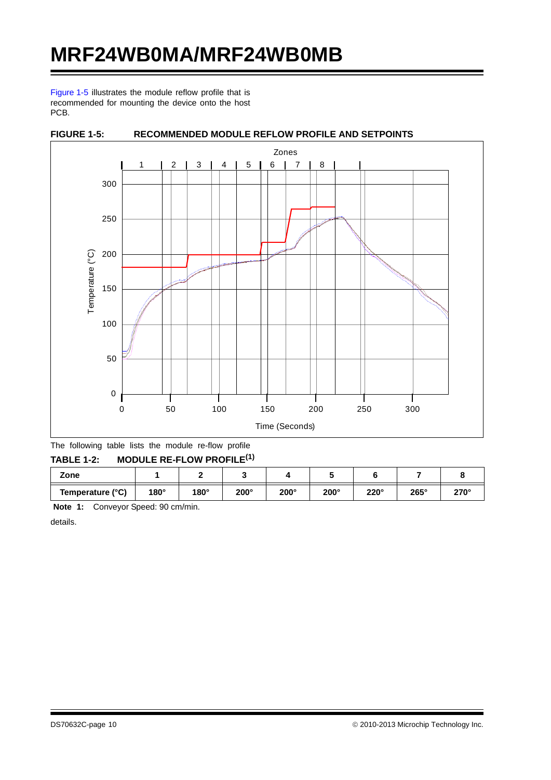[Figure 1-5](#page-9-0) illustrates the module reflow profile that is recommended for mounting the device onto the host PCB.



<span id="page-9-0"></span>

The following table lists the module re-flow profile

**TABLE 1-2: MODULE RE-FLOW PROFILE(1)**

| Zone             |             |             |             |             |             |             |             |      |
|------------------|-------------|-------------|-------------|-------------|-------------|-------------|-------------|------|
| Temperature (°C) | $180^\circ$ | $180^\circ$ | $200^\circ$ | $200^\circ$ | $200^\circ$ | $220^\circ$ | $265^\circ$ | 2700 |

**Note 1:** Conveyor Speed: 90 cm/min.

details.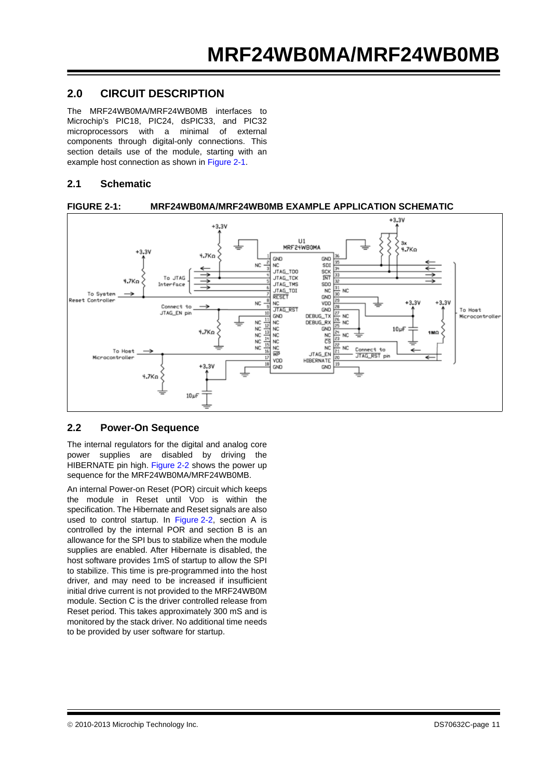### <span id="page-10-1"></span><span id="page-10-0"></span>**2.0 CIRCUIT DESCRIPTION**

The MRF24WB0MA/MRF24WB0MB interfaces to Microchip's PIC18, PIC24, dsPIC33, and PIC32 microprocessors with a minimal of external components through digital-only connections. This section details use of the module, starting with an example host connection as shown in [Figure 2-1](#page-10-2).

### **2.1 Schematic**

<span id="page-10-2"></span>

### <span id="page-10-3"></span>**2.2 Power-On Sequence**

The internal regulators for the digital and analog core power supplies are disabled by driving the HIBERNATE pin high. [Figure 2-2](#page-11-0) shows the power up sequence for the MRF24WB0MA/MRF24WB0MB.

An internal Power-on Reset (POR) circuit which keeps the module in Reset until VDD is within the specification. The Hibernate and Reset signals are also used to control startup. In [Figure 2-2](#page-11-0), section A is controlled by the internal POR and section B is an allowance for the SPI bus to stabilize when the module supplies are enabled. After Hibernate is disabled, the host software provides 1mS of startup to allow the SPI to stabilize. This time is pre-programmed into the host driver, and may need to be increased if insufficient initial drive current is not provided to the MRF24WB0M module. Section C is the driver controlled release from Reset period. This takes approximately 300 mS and is monitored by the stack driver. No additional time needs to be provided by user software for startup.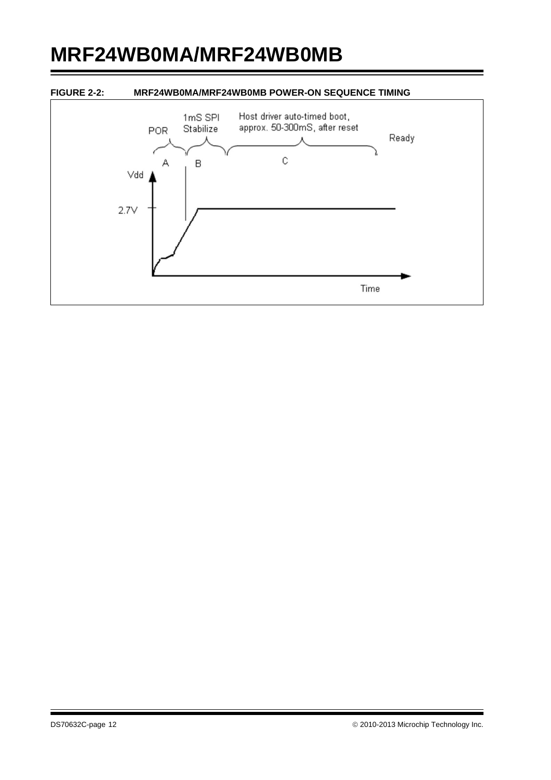<span id="page-11-1"></span><span id="page-11-0"></span>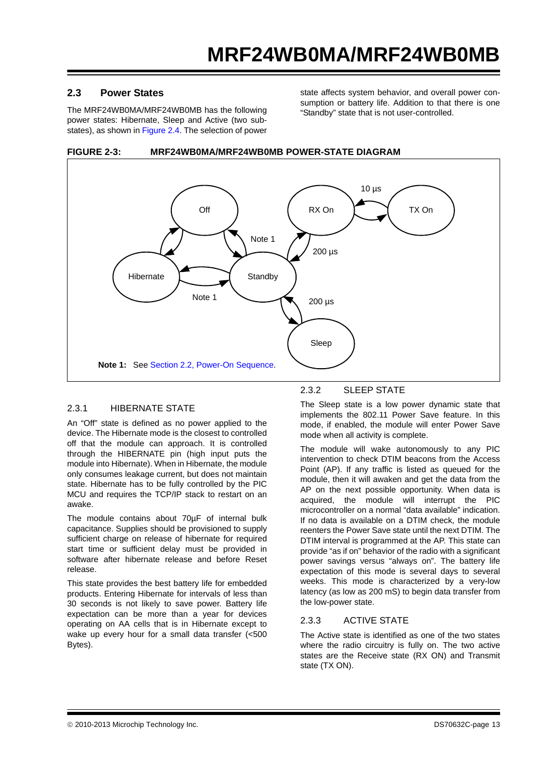state affects system behavior, and overall power consumption or battery life. Addition to that there is one

"Standby" state that is not user-controlled.

### **2.3 Power States**

The MRF24WB0MA/MRF24WB0MB has the following power states: Hibernate, Sleep and Active (two substates), as shown in [Figure 2.4](#page-14-0). The selection of power

**FIGURE 2-3: MRF24WB0MA/MRF24WB0MB POWER-STATE DIAGRAM**



#### 2.3.1 HIBERNATE STATE

An "Off" state is defined as no power applied to the device. The Hibernate mode is the closest to controlled off that the module can approach. It is controlled through the HIBERNATE pin (high input puts the module into Hibernate). When in Hibernate, the module only consumes leakage current, but does not maintain state. Hibernate has to be fully controlled by the PIC MCU and requires the TCP/IP stack to restart on an awake.

The module contains about 70µF of internal bulk capacitance. Supplies should be provisioned to supply sufficient charge on release of hibernate for required start time or sufficient delay must be provided in software after hibernate release and before Reset release.

This state provides the best battery life for embedded products. Entering Hibernate for intervals of less than 30 seconds is not likely to save power. Battery life expectation can be more than a year for devices operating on AA cells that is in Hibernate except to wake up every hour for a small data transfer (<500 Bytes).

#### 2.3.2 SLEEP STATE

The Sleep state is a low power dynamic state that implements the 802.11 Power Save feature. In this mode, if enabled, the module will enter Power Save mode when all activity is complete.

The module will wake autonomously to any PIC intervention to check DTIM beacons from the Access Point (AP). If any traffic is listed as queued for the module, then it will awaken and get the data from the AP on the next possible opportunity. When data is acquired, the module will interrupt the PIC microcontroller on a normal "data available" indication. If no data is available on a DTIM check, the module reenters the Power Save state until the next DTIM. The DTIM interval is programmed at the AP. This state can provide "as if on" behavior of the radio with a significant power savings versus "always on". The battery life expectation of this mode is several days to several weeks. This mode is characterized by a very-low latency (as low as 200 mS) to begin data transfer from the low-power state.

#### 2.3.3 ACTIVE STATE

The Active state is identified as one of the two states where the radio circuitry is fully on. The two active states are the Receive state (RX ON) and Transmit state (TX ON).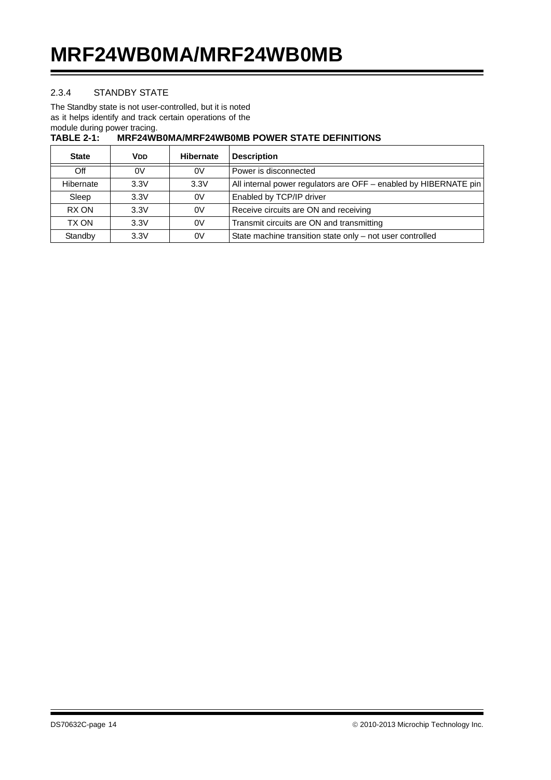#### <span id="page-13-0"></span>2.3.4 STANDBY STATE

The Standby state is not user-controlled, but it is noted as it helps identify and track certain operations of the module during power tracing.

#### **TABLE 2-1: MRF24WB0MA/MRF24WB0MB POWER STATE DEFINITIONS**

| <b>State</b> | VDD. | <b>Hibernate</b> | <b>Description</b>                                               |
|--------------|------|------------------|------------------------------------------------------------------|
| Off          | 0V   | 0V               | Power is disconnected                                            |
| Hibernate    | 3.3V | 3.3V             | All internal power regulators are OFF – enabled by HIBERNATE pin |
| Sleep        | 3.3V | 0V               | Enabled by TCP/IP driver                                         |
| RX ON        | 3.3V | 0V               | Receive circuits are ON and receiving                            |
| TX ON        | 3.3V | 0V               | Transmit circuits are ON and transmitting                        |
| Standby      | 3.3V | 0V               | State machine transition state only – not user controlled        |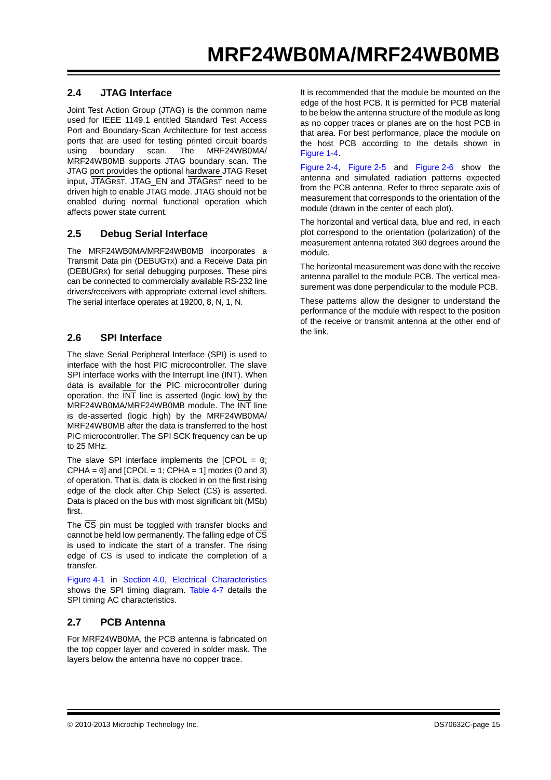### <span id="page-14-0"></span>**2.4 JTAG Interface**

Joint Test Action Group (JTAG) is the common name used for IEEE 1149.1 entitled Standard Test Access Port and Boundary-Scan Architecture for test access ports that are used for testing printed circuit boards using boundary scan. The MRF24WB0MA/ MRF24WB0MB supports JTAG boundary scan. The JTAG port provides the optional hardware JTAG Reset input, JTAGRST. JTAG\_EN and JTAGRST need to be driven high to enable JTAG mode. JTAG should not be enabled during normal functional operation which affects power state current.

### **2.5 Debug Serial Interface**

The MRF24WB0MA/MRF24WB0MB incorporates a Transmit Data pin (DEBUGTX) and a Receive Data pin (DEBUGRX) for serial debugging purposes. These pins can be connected to commercially available RS-232 line drivers/receivers with appropriate external level shifters. The serial interface operates at 19200, 8, N, 1, N.

### **2.6 SPI Interface**

The slave Serial Peripheral Interface (SPI) is used to interface with the host PIC microcontroller. The slave SPI interface works with the Interrupt line (INT). When data is available for the PIC microcontroller during operation, the  $\overline{\text{INT}}$  line is asserted (logic low) by the MRF24WB0MA/MRF24WB0MB module. The INT line is de-asserted (logic high) by the MRF24WB0MA/ MRF24WB0MB after the data is transferred to the host PIC microcontroller. The SPI SCK frequency can be up to 25 MHz.

The slave SPI interface implements the  $[CPOL = 0;$  $CPHA = 0$ ] and  $[CPOL = 1$ ;  $CPHA = 1]$  modes (0 and 3) of operation. That is, data is clocked in on the first rising edge of the clock after Chip Select  $(\overline{CS})$  is asserted. Data is placed on the bus with most significant bit (MSb) first.

The CS pin must be toggled with transfer blocks and cannot be held low permanently. The falling edge of  $\overline{CS}$ is used to indicate the start of a transfer. The rising edge of CS is used to indicate the completion of a transfer.

[Figure 4-1](#page-28-0) in [Section 4.0, Electrical Characteristics](#page-26-1) shows the SPI timing diagram. [Table 4-7](#page-28-1) details the SPI timing AC characteristics.

### **2.7 PCB Antenna**

For MRF24WB0MA, the PCB antenna is fabricated on the top copper layer and covered in solder mask. The layers below the antenna have no copper trace.

It is recommended that the module be mounted on the edge of the host PCB. It is permitted for PCB material to be below the antenna structure of the module as long as no copper traces or planes are on the host PCB in that area. For best performance, place the module on the host PCB according to the details shown in [Figure 1-4.](#page-8-1)

[Figure 2-4,](#page-15-0) [Figure 2-5](#page-16-0) and [Figure 2-6](#page-17-0) show the antenna and simulated radiation patterns expected from the PCB antenna. Refer to three separate axis of measurement that corresponds to the orientation of the module (drawn in the center of each plot).

The horizontal and vertical data, blue and red, in each plot correspond to the orientation (polarization) of the measurement antenna rotated 360 degrees around the module.

The horizontal measurement was done with the receive antenna parallel to the module PCB. The vertical measurement was done perpendicular to the module PCB.

These patterns allow the designer to understand the performance of the module with respect to the position of the receive or transmit antenna at the other end of the link.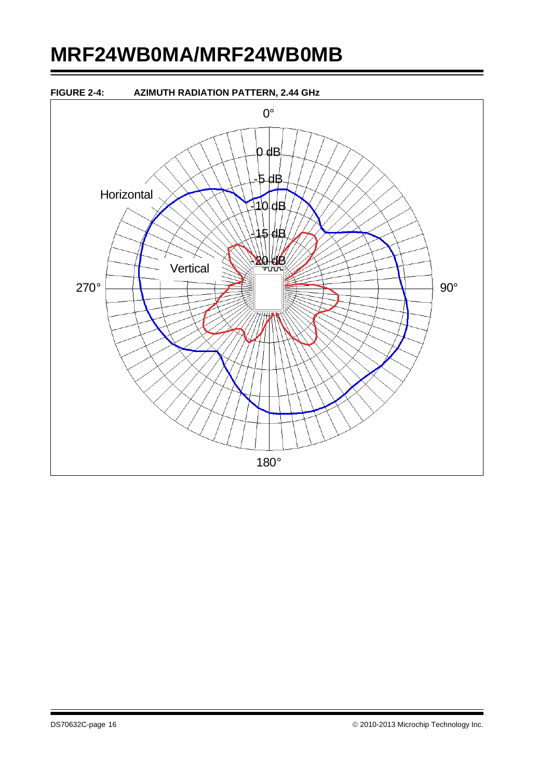<span id="page-15-0"></span>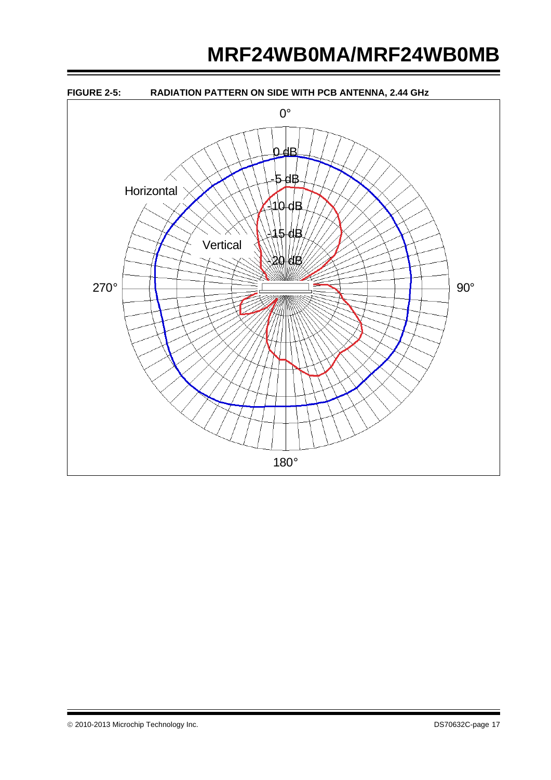<span id="page-16-0"></span>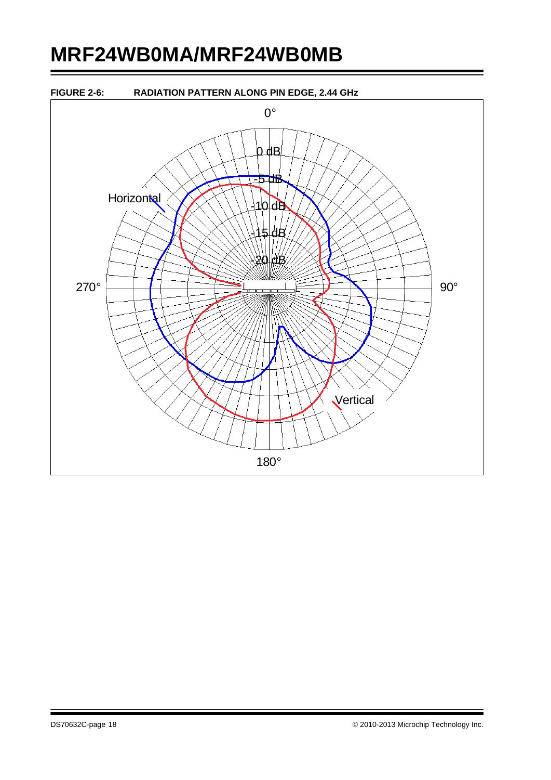<span id="page-17-0"></span>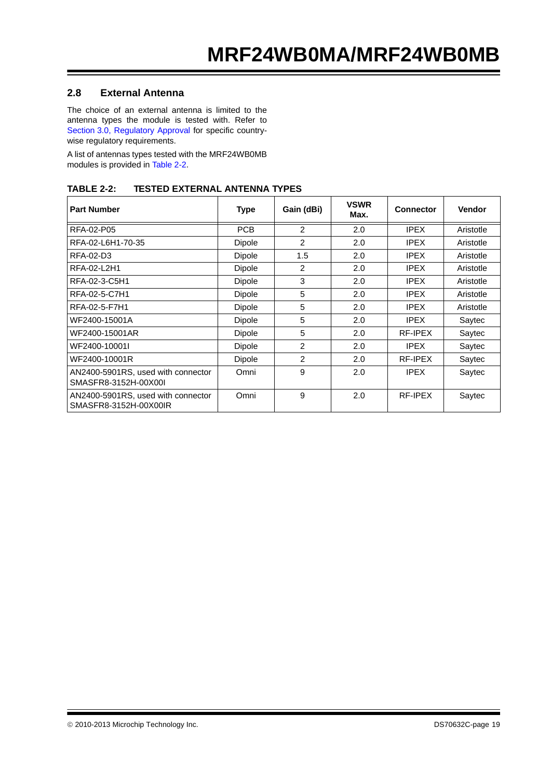#### <span id="page-18-0"></span>**2.8 External Antenna**

The choice of an external antenna is limited to the antenna types the module is tested with. Refer to [Section 3.0, Regulatory Approval](#page-20-1) for specific countrywise regulatory requirements.

A list of antennas types tested with the MRF24WB0MB modules is provided in [Table 2-2](#page-18-1).

<span id="page-18-2"></span><span id="page-18-1"></span>

| <b>TABLE 2-2:</b> | <b>TESTED EXTERNAL ANTENNA TYPES</b> |  |
|-------------------|--------------------------------------|--|
|                   |                                      |  |

| <b>Part Number</b>                                          | <b>Type</b> | Gain (dBi)     | <b>VSWR</b><br>Max. | <b>Connector</b> | Vendor    |
|-------------------------------------------------------------|-------------|----------------|---------------------|------------------|-----------|
| RFA-02-P05                                                  | <b>PCB</b>  | $\overline{2}$ | 2.0                 | <b>IPEX</b>      | Aristotle |
| RFA-02-L6H1-70-35                                           | Dipole      | 2              | 2.0                 | <b>IPEX</b>      | Aristotle |
| RFA-02-D3                                                   | Dipole      | 1.5            | 2.0                 | <b>IPEX</b>      | Aristotle |
| RFA-02-L2H1                                                 | Dipole      | 2              | 2.0                 | <b>IPEX</b>      | Aristotle |
| RFA-02-3-C5H1                                               | Dipole      | 3              | 2.0                 | IPEX             | Aristotle |
| RFA-02-5-C7H1                                               | Dipole      | 5              | 2.0                 | <b>IPEX</b>      | Aristotle |
| RFA-02-5-F7H1                                               | Dipole      | 5              | 2.0                 | <b>IPEX</b>      | Aristotle |
| WF2400-15001A                                               | Dipole      | 5              | 2.0                 | <b>IPEX</b>      | Saytec    |
| WF2400-15001AR                                              | Dipole      | 5              | 2.0                 | RF-IPEX          | Saytec    |
| WF2400-10001L                                               | Dipole      | 2              | 2.0                 | <b>IPEX</b>      | Saytec    |
| WF2400-10001R                                               | Dipole      | 2              | 2.0                 | RF-IPEX          | Saytec    |
| AN2400-5901RS, used with connector<br>SMASFR8-3152H-00X00I  | Omni        | 9              | 2.0                 | <b>IPEX</b>      | Saytec    |
| AN2400-5901RS, used with connector<br>SMASFR8-3152H-00X00IR | Omni        | 9              | 2.0                 | RF-IPEX          | Saytec    |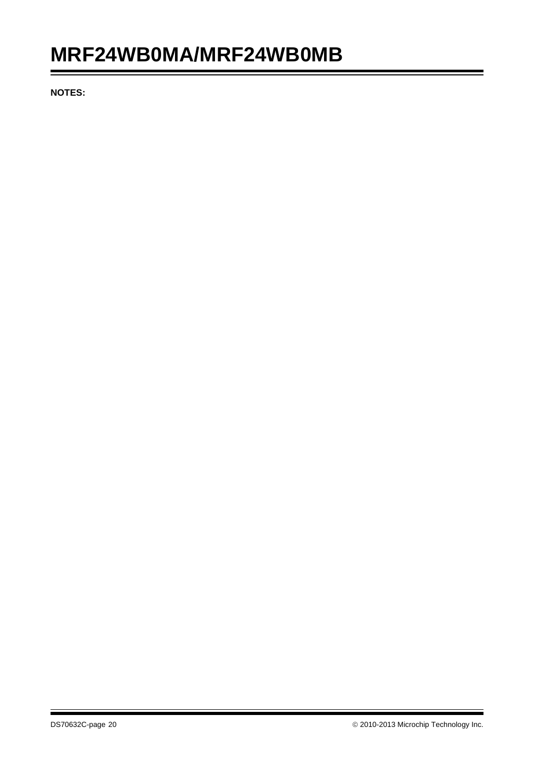**NOTES:**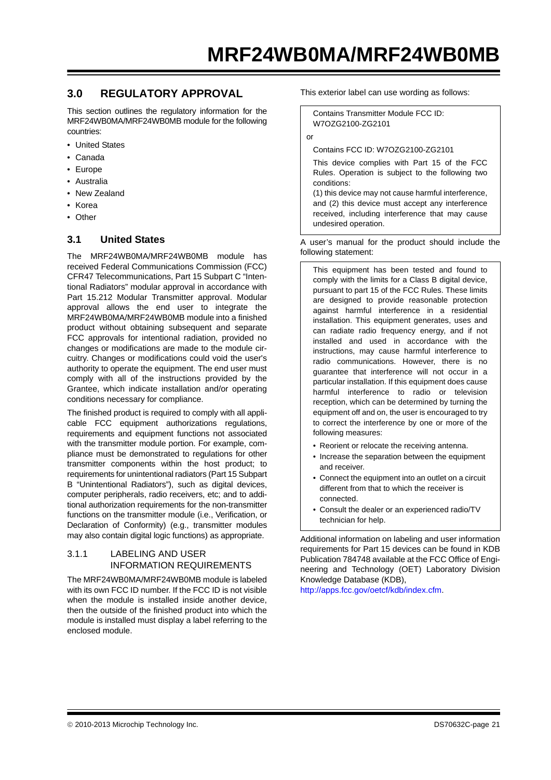## <span id="page-20-1"></span><span id="page-20-0"></span>**3.0 REGULATORY APPROVAL**

This section outlines the regulatory information for the MRF24WB0MA/MRF24WB0MB module for the following countries:

- United States
- Canada
- Europe
- Australia
- New Zealand
- Korea
- Other

#### **3.1 United States**

The MRF24WB0MA/MRF24WB0MB module has received Federal Communications Commission (FCC) CFR47 Telecommunications, Part 15 Subpart C "Intentional Radiators" modular approval in accordance with Part 15.212 Modular Transmitter approval. Modular approval allows the end user to integrate the MRF24WB0MA/MRF24WB0MB module into a finished product without obtaining subsequent and separate FCC approvals for intentional radiation, provided no changes or modifications are made to the module circuitry. Changes or modifications could void the user's authority to operate the equipment. The end user must comply with all of the instructions provided by the Grantee, which indicate installation and/or operating conditions necessary for compliance.

The finished product is required to comply with all applicable FCC equipment authorizations regulations, requirements and equipment functions not associated with the transmitter module portion. For example, compliance must be demonstrated to regulations for other transmitter components within the host product; to requirements for unintentional radiators (Part 15 Subpart B "Unintentional Radiators"), such as digital devices, computer peripherals, radio receivers, etc; and to additional authorization requirements for the non-transmitter functions on the transmitter module (i.e., Verification, or Declaration of Conformity) (e.g., transmitter modules may also contain digital logic functions) as appropriate.

#### 3.1.1 LABELING AND USER INFORMATION REQUIREMENTS

The MRF24WB0MA/MRF24WB0MB module is labeled with its own FCC ID number. If the FCC ID is not visible when the module is installed inside another device, then the outside of the finished product into which the module is installed must display a label referring to the enclosed module.

This exterior label can use wording as follows:

Contains Transmitter Module FCC ID: W7OZG2100-ZG2101

or

Contains FCC ID: W7OZG2100-ZG2101

This device complies with Part 15 of the FCC Rules. Operation is subject to the following two conditions:

(1) this device may not cause harmful interference, and (2) this device must accept any interference received, including interference that may cause undesired operation.

A user's manual for the product should include the following statement:

This equipment has been tested and found to comply with the limits for a Class B digital device, pursuant to part 15 of the FCC Rules. These limits are designed to provide reasonable protection against harmful interference in a residential installation. This equipment generates, uses and can radiate radio frequency energy, and if not installed and used in accordance with the instructions, may cause harmful interference to radio communications. However, there is no guarantee that interference will not occur in a particular installation. If this equipment does cause harmful interference to radio or television reception, which can be determined by turning the equipment off and on, the user is encouraged to try to correct the interference by one or more of the following measures:

- Reorient or relocate the receiving antenna.
- Increase the separation between the equipment and receiver.
- Connect the equipment into an outlet on a circuit different from that to which the receiver is connected.
- Consult the dealer or an experienced radio/TV technician for help.

Additional information on labeling and user information requirements for Part 15 devices can be found in KDB Publication 784748 available at the FCC Office of Engineering and Technology (OET) Laboratory Division Knowledge Database (KDB),

http://apps.fcc.gov/oetcf/kdb/index.cfm.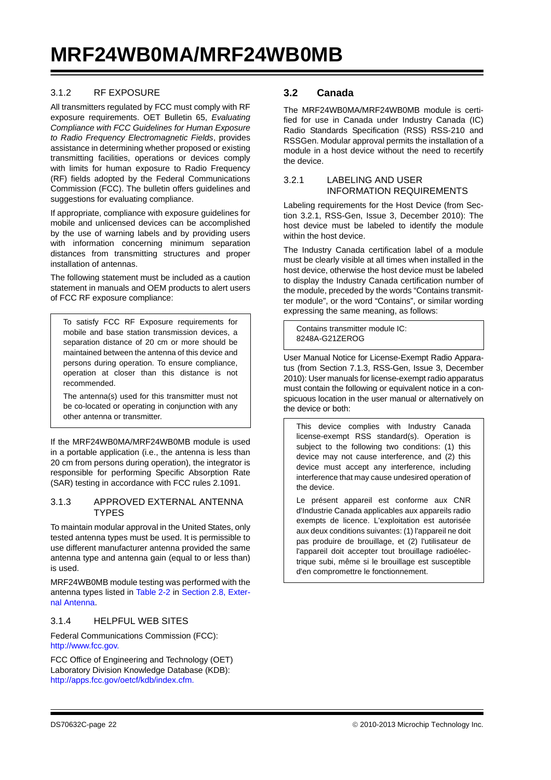#### 3.1.2 RF EXPOSURE

All transmitters regulated by FCC must comply with RF exposure requirements. OET Bulletin 65, *Evaluating Compliance with FCC Guidelines for Human Exposure to Radio Frequency Electromagnetic Fields*, provides assistance in determining whether proposed or existing transmitting facilities, operations or devices comply with limits for human exposure to Radio Frequency (RF) fields adopted by the Federal Communications Commission (FCC). The bulletin offers guidelines and suggestions for evaluating compliance.

If appropriate, compliance with exposure guidelines for mobile and unlicensed devices can be accomplished by the use of warning labels and by providing users with information concerning minimum separation distances from transmitting structures and proper installation of antennas.

The following statement must be included as a caution statement in manuals and OEM products to alert users of FCC RF exposure compliance:

To satisfy FCC RF Exposure requirements for mobile and base station transmission devices, a separation distance of 20 cm or more should be maintained between the antenna of this device and persons during operation. To ensure compliance, operation at closer than this distance is not recommended.

The antenna(s) used for this transmitter must not be co-located or operating in conjunction with any other antenna or transmitter.

If the MRF24WB0MA/MRF24WB0MB module is used in a portable application (i.e., the antenna is less than 20 cm from persons during operation), the integrator is responsible for performing Specific Absorption Rate (SAR) testing in accordance with FCC rules 2.1091.

#### 3.1.3 APPROVED EXTERNAL ANTENNA TYPES

To maintain modular approval in the United States, only tested antenna types must be used. It is permissible to use different manufacturer antenna provided the same antenna type and antenna gain (equal to or less than) is used.

MRF24WB0MB module testing was performed with the antenna types listed in [Table 2-2](#page-18-2) in [Section 2.8, Exter](#page-18-0)[nal Antenna.](#page-18-0)

#### 3.1.4 HELPFUL WEB SITES

Federal Communications Commission (FCC): http://www.fcc.gov.

FCC Office of Engineering and Technology (OET) Laboratory Division Knowledge Database (KDB): http://apps.fcc.gov/oetcf/kdb/index.cfm.

### **3.2 Canada**

The MRF24WB0MA/MRF24WB0MB module is certified for use in Canada under Industry Canada (IC) Radio Standards Specification (RSS) RSS-210 and RSSGen. Modular approval permits the installation of a module in a host device without the need to recertify the device.

#### 3.2.1 LABELING AND USER INFORMATION REQUIREMENTS

Labeling requirements for the Host Device (from Section 3.2.1, RSS-Gen, Issue 3, December 2010): The host device must be labeled to identify the module within the host device.

The Industry Canada certification label of a module must be clearly visible at all times when installed in the host device, otherwise the host device must be labeled to display the Industry Canada certification number of the module, preceded by the words "Contains transmitter module", or the word "Contains", or similar wording expressing the same meaning, as follows:

Contains transmitter module IC: 8248A-G21ZEROG

User Manual Notice for License-Exempt Radio Apparatus (from Section 7.1.3, RSS-Gen, Issue 3, December 2010): User manuals for license-exempt radio apparatus must contain the following or equivalent notice in a conspicuous location in the user manual or alternatively on the device or both:

This device complies with Industry Canada license-exempt RSS standard(s). Operation is subject to the following two conditions: (1) this device may not cause interference, and (2) this device must accept any interference, including interference that may cause undesired operation of the device.

Le présent appareil est conforme aux CNR d'Industrie Canada applicables aux appareils radio exempts de licence. L'exploitation est autorisée aux deux conditions suivantes: (1) l'appareil ne doit pas produire de brouillage, et (2) l'utilisateur de l'appareil doit accepter tout brouillage radioélectrique subi, même si le brouillage est susceptible d'en compromettre le fonctionnement.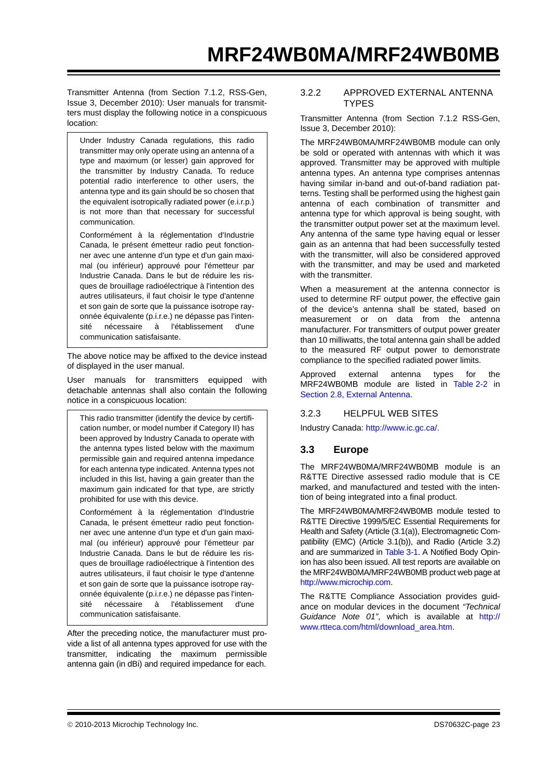Transmitter Antenna (from Section 7.1.2, RSS-Gen, Issue 3, December 2010): User manuals for transmitters must display the following notice in a conspicuous location:

Under Industry Canada regulations, this radio transmitter may only operate using an antenna of a type and maximum (or lesser) gain approved for the transmitter by Industry Canada. To reduce potential radio interference to other users, the antenna type and its gain should be so chosen that the equivalent isotropically radiated power (e.i.r.p.) is not more than that necessary for successful communication.

Conformément à la réglementation d'Industrie Canada, le présent émetteur radio peut fonctionner avec une antenne d'un type et d'un gain maximal (ou inférieur) approuvé pour l'émetteur par Industrie Canada. Dans le but de réduire les risques de brouillage radioélectrique à l'intention des autres utilisateurs, il faut choisir le type d'antenne et son gain de sorte que la puissance isotrope rayonnée équivalente (p.i.r.e.) ne dépasse pas l'intensité nécessaire à l'établissement d'une communication satisfaisante.

The above notice may be affixed to the device instead of displayed in the user manual.

User manuals for transmitters equipped with detachable antennas shall also contain the following notice in a conspicuous location:

This radio transmitter (identify the device by certification number, or model number if Category II) has been approved by Industry Canada to operate with the antenna types listed below with the maximum permissible gain and required antenna impedance for each antenna type indicated. Antenna types not included in this list, having a gain greater than the maximum gain indicated for that type, are strictly prohibited for use with this device.

Conformément à la réglementation d'Industrie Canada, le présent émetteur radio peut fonctionner avec une antenne d'un type et d'un gain maximal (ou inférieur) approuvé pour l'émetteur par Industrie Canada. Dans le but de réduire les risques de brouillage radioélectrique à l'intention des autres utilisateurs, il faut choisir le type d'antenne et son gain de sorte que la puissance isotrope rayonnée équivalente (p.i.r.e.) ne dépasse pas l'intensité nécessaire à l'établissement d'une communication satisfaisante.

After the preceding notice, the manufacturer must provide a list of all antenna types approved for use with the transmitter, indicating the maximum permissible antenna gain (in dBi) and required impedance for each.

#### 3.2.2 APPROVED EXTERNAL ANTENNA **TYPES**

Transmitter Antenna (from Section 7.1.2 RSS-Gen, Issue 3, December 2010):

The MRF24WB0MA/MRF24WB0MB module can only be sold or operated with antennas with which it was approved. Transmitter may be approved with multiple antenna types. An antenna type comprises antennas having similar in-band and out-of-band radiation patterns. Testing shall be performed using the highest gain antenna of each combination of transmitter and antenna type for which approval is being sought, with the transmitter output power set at the maximum level. Any antenna of the same type having equal or lesser gain as an antenna that had been successfully tested with the transmitter, will also be considered approved with the transmitter, and may be used and marketed with the transmitter.

When a measurement at the antenna connector is used to determine RF output power, the effective gain of the device's antenna shall be stated, based on measurement or on data from the antenna manufacturer. For transmitters of output power greater than 10 milliwatts, the total antenna gain shall be added to the measured RF output power to demonstrate compliance to the specified radiated power limits.

Approved external antenna types for the MRF24WB0MB module are listed in [Table 2-2](#page-18-2) in [Section 2.8, External Antenna.](#page-18-0)

#### 3.2.3 HELPFUL WEB SITES

Industry Canada: http://www.ic.gc.ca/.

### **3.3 Europe**

The MRF24WB0MA/MRF24WB0MB module is an R&TTE Directive assessed radio module that is CE marked, and manufactured and tested with the intention of being integrated into a final product.

The MRF24WB0MA/MRF24WB0MB module tested to R&TTE Directive 1999/5/EC Essential Requirements for Health and Safety (Article (3.1(a)), Electromagnetic Compatibility (EMC) (Article 3.1(b)), and Radio (Article 3.2) and are summarized in [Table 3-1.](#page-23-0) A Notified Body Opinion has also been issued. All test reports are available on the MRF24WB0MA/MRF24WB0MB product web page at http://www.microchip.com.

The R&TTE Compliance Association provides guidance on modular devices in the document *"Technical Guidance Note 01"*, which is available at http:// www.rtteca.com/html/download\_area.htm.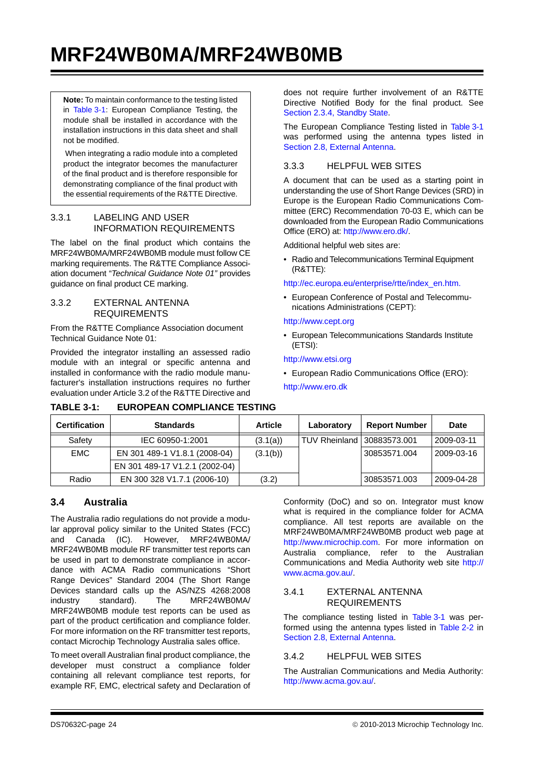**Note:** To maintain conformance to the testing listed in [Table 3-1](#page-23-0): European Compliance Testing, the module shall be installed in accordance with the installation instructions in this data sheet and shall not be modified.

 When integrating a radio module into a completed product the integrator becomes the manufacturer of the final product and is therefore responsible for demonstrating compliance of the final product with the essential requirements of the R&TTE Directive.

#### 3.3.1 LABELING AND USER INFORMATION REQUIREMENTS

The label on the final product which contains the MRF24WB0MA/MRF24WB0MB module must follow CE marking requirements. The R&TTE Compliance Association document "*Technical Guidance Note 01"* provides guidance on final product CE marking.

#### 3.3.2 EXTERNAL ANTENNA REQUIREMENTS

From the R&TTE Compliance Association document Technical Guidance Note 01:

Provided the integrator installing an assessed radio module with an integral or specific antenna and installed in conformance with the radio module manufacturer's installation instructions requires no further evaluation under Article 3.2 of the R&TTE Directive and

<span id="page-23-0"></span>**TABLE 3-1: EUROPEAN COMPLIANCE TESTING**

does not require further involvement of an R&TTE Directive Notified Body for the final product. See [Section 2.3.4, Standby State](#page-13-0).

The European Compliance Testing listed in [Table 3-1](#page-23-0) was performed using the antenna types listed in [Section 2.8, External Antenna.](#page-18-0)

#### 3.3.3 HELPFUL WEB SITES

A document that can be used as a starting point in understanding the use of Short Range Devices (SRD) in Europe is the European Radio Communications Committee (ERC) Recommendation 70-03 E, which can be downloaded from the European Radio Communications Office (ERO) at: http://www.ero.dk/.

Additional helpful web sites are:

• Radio and Telecommunications Terminal Equipment (R&TTE):

http://ec.europa.eu/enterprise/rtte/index\_en.htm.

• European Conference of Postal and Telecommunications Administrations (CEPT):

#### http://www.cept.org

• European Telecommunications Standards Institute (ETSI):

http://www.etsi.org

- European Radio Communications Office (ERO):
- http://www.ero.dk

| <b>Certification</b> | <b>Standards</b>               | <b>Article</b> | Laboratory                  | <b>Report Number</b> | Date       |
|----------------------|--------------------------------|----------------|-----------------------------|----------------------|------------|
| Safety               | IEC 60950-1:2001               | (3.1(a))       | TUV Rheinland 130883573.001 |                      | 2009-03-11 |
| <b>EMC</b>           | EN 301 489-1 V1.8.1 (2008-04)  | (3.1(b))       |                             | 30853571.004         | 2009-03-16 |
|                      | EN 301 489-17 V1.2.1 (2002-04) |                |                             |                      |            |
| Radio                | EN 300 328 V1.7.1 (2006-10)    | (3.2)          |                             | 30853571.003         | 2009-04-28 |

### **3.4 Australia**

The Australia radio regulations do not provide a modular approval policy similar to the United States (FCC) and Canada (IC). However, MRF24WB0MA/ MRF24WB0MB module RF transmitter test reports can be used in part to demonstrate compliance in accordance with ACMA Radio communications "Short Range Devices" Standard 2004 (The Short Range Devices standard calls up the AS/NZS 4268:2008 industry standard). The MRF24WB0MA/ MRF24WB0MB module test reports can be used as part of the product certification and compliance folder. For more information on the RF transmitter test reports, contact Microchip Technology Australia sales office.

To meet overall Australian final product compliance, the developer must construct a compliance folder containing all relevant compliance test reports, for example RF, EMC, electrical safety and Declaration of

Conformity (DoC) and so on. Integrator must know what is required in the compliance folder for ACMA compliance. All test reports are available on the MRF24WB0MA/MRF24WB0MB product web page at http://www.microchip.com. For more information on Australia compliance, refer to the Australian Communications and Media Authority web site http:// www.acma.gov.au/.

#### 3.4.1 EXTERNAL ANTENNA REQUIREMENTS

The compliance testing listed in [Table 3-1](#page-23-0) was performed using the antenna types listed in [Table 2-2](#page-18-2) in [Section 2.8, External Antenna.](#page-18-0)

#### 3.4.2 HELPFUL WEB SITES

The Australian Communications and Media Authority: http://www.acma.gov.au/.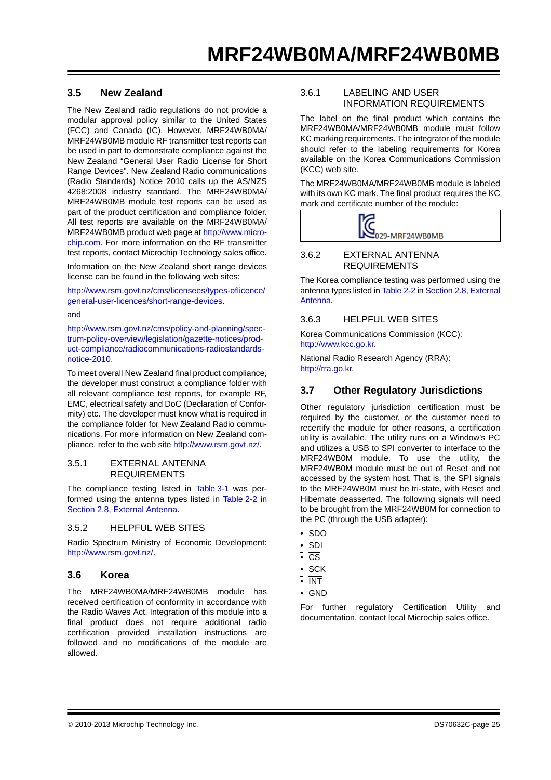### **3.5 New Zealand**

The New Zealand radio regulations do not provide a modular approval policy similar to the United States (FCC) and Canada (IC). However, MRF24WB0MA/ MRF24WB0MB module RF transmitter test reports can be used in part to demonstrate compliance against the New Zealand "General User Radio License for Short Range Devices". New Zealand Radio communications (Radio Standards) Notice 2010 calls up the AS/NZS 4268:2008 industry standard. The MRF24WB0MA/ MRF24WB0MB module test reports can be used as part of the product certification and compliance folder. All test reports are available on the MRF24WB0MA/ MRF24WB0MB product web page at http://www.microchip.com. For more information on the RF transmitter test reports, contact Microchip Technology sales office.

Information on the New Zealand short range devices license can be found in the following web sites:

http://www.rsm.govt.nz/cms/licensees/types-oflicence/ general-user-licences/short-range-devices.

#### and

http://www.rsm.govt.nz/cms/policy-and-planning/spectrum-policy-overview/legislation/gazette-notices/product-compliance/radiocommunications-radiostandardsnotice-2010.

To meet overall New Zealand final product compliance, the developer must construct a compliance folder with all relevant compliance test reports, for example RF, EMC, electrical safety and DoC (Declaration of Conformity) etc. The developer must know what is required in the compliance folder for New Zealand Radio communications. For more information on New Zealand compliance, refer to the web site http://www.rsm.govt.nz/.

#### 3.5.1 EXTERNAL ANTENNA REQUIREMENTS

The compliance testing listed in [Table 3-1](#page-23-0) was performed using the antenna types listed in [Table 2-2](#page-18-2) in [Section 2.8, External Antenna.](#page-18-0)

#### 3.5.2 HELPFUL WEB SITES

Radio Spectrum Ministry of Economic Development: http://www.rsm.govt.nz/.

#### **3.6 Korea**

The MRF24WB0MA/MRF24WB0MB module has received certification of conformity in accordance with the Radio Waves Act. Integration of this module into a final product does not require additional radio certification provided installation instructions are followed and no modifications of the module are allowed.

#### 3.6.1 LABELING AND USER INFORMATION REQUIREMENTS

The label on the final product which contains the MRF24WB0MA/MRF24WB0MB module must follow KC marking requirements. The integrator of the module should refer to the labeling requirements for Korea available on the Korea Communications Commission (KCC) web site.

The MRF24WB0MA/MRF24WB0MB module is labeled with its own KC mark. The final product requires the KC mark and certificate number of the module:



#### 3.6.2 EXTERNAL ANTENNA REQUIREMENTS

The Korea compliance testing was performed using the antenna types listed in [Table 2-2](#page-18-2) in [Section 2.8, External](#page-18-0) [Antenna](#page-18-0).

#### 3.6.3 HELPFUL WEB SITES

Korea Communications Commission (KCC): http://www.kcc.go.kr.

National Radio Research Agency (RRA): http://rra.go.kr.

### <span id="page-24-0"></span>**3.7 Other Regulatory Jurisdictions**

Other regulatory jurisdiction certification must be required by the customer, or the customer need to recertify the module for other reasons, a certification utility is available. The utility runs on a Window's PC and utilizes a USB to SPI converter to interface to the MRF24WB0M module. To use the utility, the MRF24WB0M module must be out of Reset and not accessed by the system host. That is, the SPI signals to the MRF24WB0M must be tri-state, with Reset and Hibernate deasserted. The following signals will need to be brought from the MRF24WB0M for connection to the PC (through the USB adapter):

- SDO
- SDI
- CS
- SCK
- INT
- GND

For further regulatory Certification Utility and documentation, contact local Microchip sales office.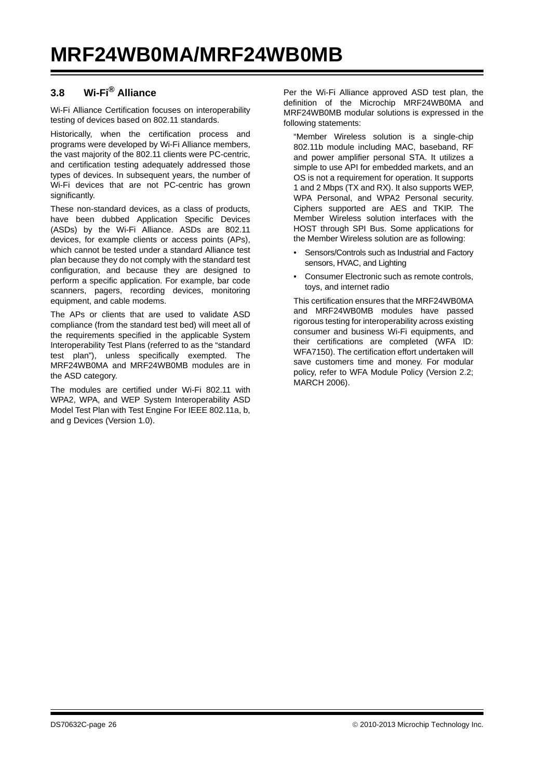# **3.8 Wi-Fi® Alliance**

Wi-Fi Alliance Certification focuses on interoperability testing of devices based on 802.11 standards.

Historically, when the certification process and programs were developed by Wi-Fi Alliance members, the vast majority of the 802.11 clients were PC-centric, and certification testing adequately addressed those types of devices. In subsequent years, the number of Wi-Fi devices that are not PC-centric has grown significantly.

These non-standard devices, as a class of products, have been dubbed Application Specific Devices (ASDs) by the Wi-Fi Alliance. ASDs are 802.11 devices, for example clients or access points (APs), which cannot be tested under a standard Alliance test plan because they do not comply with the standard test configuration, and because they are designed to perform a specific application. For example, bar code scanners, pagers, recording devices, monitoring equipment, and cable modems.

The APs or clients that are used to validate ASD compliance (from the standard test bed) will meet all of the requirements specified in the applicable System Interoperability Test Plans (referred to as the "standard test plan"), unless specifically exempted. The MRF24WB0MA and MRF24WB0MB modules are in the ASD category.

The modules are certified under Wi-Fi 802.11 with WPA2, WPA, and WEP System Interoperability ASD Model Test Plan with Test Engine For IEEE 802.11a, b, and g Devices (Version 1.0).

Per the Wi-Fi Alliance approved ASD test plan, the definition of the Microchip MRF24WB0MA and MRF24WB0MB modular solutions is expressed in the following statements:

"Member Wireless solution is a single-chip 802.11b module including MAC, baseband, RF and power amplifier personal STA. It utilizes a simple to use API for embedded markets, and an OS is not a requirement for operation. It supports 1 and 2 Mbps (TX and RX). It also supports WEP, WPA Personal, and WPA2 Personal security. Ciphers supported are AES and TKIP. The Member Wireless solution interfaces with the HOST through SPI Bus. Some applications for the Member Wireless solution are as following:

- Sensors/Controls such as Industrial and Factory sensors, HVAC, and Lighting
- Consumer Electronic such as remote controls, toys, and internet radio

This certification ensures that the MRF24WB0MA and MRF24WB0MB modules have passed rigorous testing for interoperability across existing consumer and business Wi-Fi equipments, and their certifications are completed (WFA ID: WFA7150). The certification effort undertaken will save customers time and money. For modular policy, refer to WFA Module Policy (Version 2.2; MARCH 2006).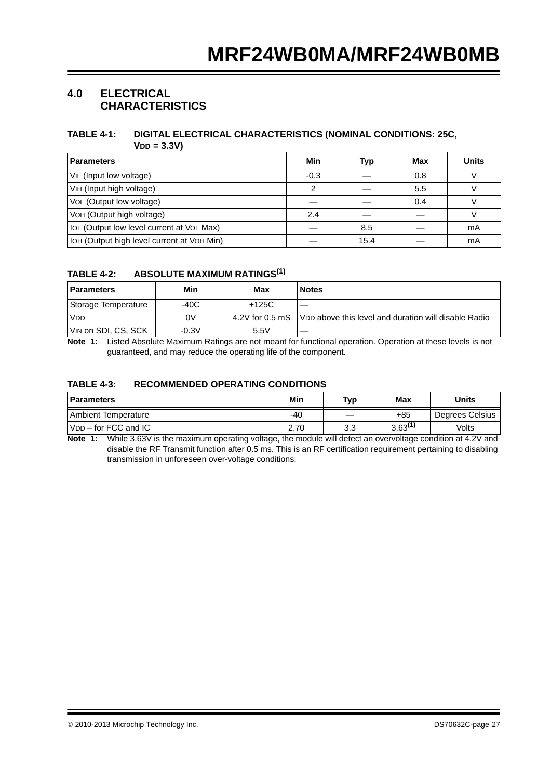## <span id="page-26-1"></span><span id="page-26-0"></span>**4.0 ELECTRICAL CHARACTERISTICS**

#### **TABLE 4-1: DIGITAL ELECTRICAL CHARACTERISTICS (NOMINAL CONDITIONS: 25C, VDD = 3.3V)**

| <b>Parameters</b>                          | Min    | Typ  | Max | <b>Units</b> |
|--------------------------------------------|--------|------|-----|--------------|
| VIL (Input low voltage)                    | $-0.3$ |      | 0.8 |              |
| VIH (Input high voltage)                   |        |      | 5.5 |              |
| VOL (Output low voltage)                   |        |      | 0.4 |              |
| VOH (Output high voltage)                  | 2.4    |      |     |              |
| IOL (Output low level current at VOL Max)  |        | 8.5  |     | mA           |
| IOH (Output high level current at VOH Min) |        | 15.4 |     | mA           |

#### **TABLE 4-2: ABSOLUTE MAXIMUM RATINGS(1)**

| <b>Parameters</b>   | Min     | Max   | <b>Notes</b>                                                           |
|---------------------|---------|-------|------------------------------------------------------------------------|
| Storage Temperature | $-40C$  | +125C |                                                                        |
| VDD                 | 0V      |       | 4.2V for 0.5 mS   VDD above this level and duration will disable Radio |
| VIN on SDI, CS, SCK | $-0.3V$ | 5.5V  |                                                                        |

**Note 1:** Listed Absolute Maximum Ratings are not meant for functional operation. Operation at these levels is not guaranteed, and may reduce the operating life of the component.

#### <span id="page-26-2"></span>**TABLE 4-3: RECOMMENDED OPERATING CONDITIONS**

| <b>Parameters</b>        | Min  | Typ | Max          | Units           |
|--------------------------|------|-----|--------------|-----------------|
| Ambient Temperature      | -40  |     | $+85$        | Degrees Celsius |
| $VDD - for FCC$ and $IC$ | 2.70 | 3.3 | $3.63^{(1)}$ | Volts           |

**Note 1:** While 3.63V is the maximum operating voltage, the module will detect an overvoltage condition at 4.2V and disable the RF Transmit function after 0.5 ms. This is an RF certification requirement pertaining to disabling transmission in unforeseen over-voltage conditions.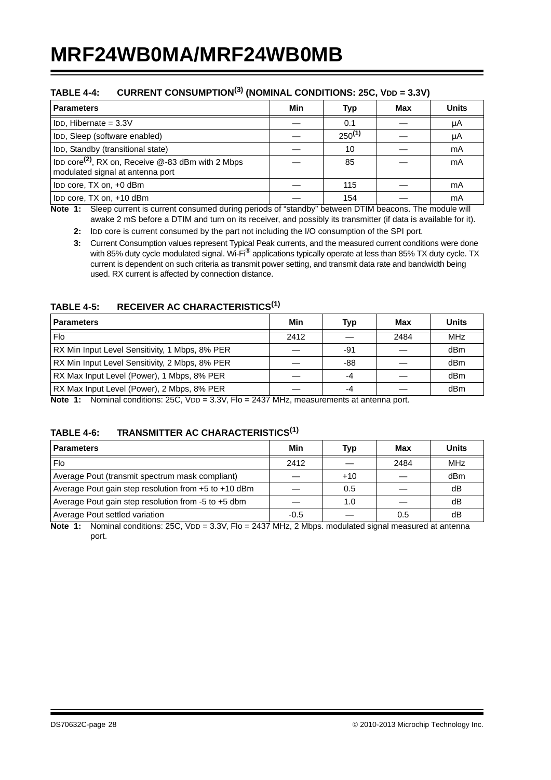#### **TABLE 4-4: CURRENT CONSUMPTION(3) (NOMINAL CONDITIONS: 25C, VDD = 3.3V)**

| <b>Parameters</b>                                                                                 | Min | Typ         | Max | <b>Units</b> |
|---------------------------------------------------------------------------------------------------|-----|-------------|-----|--------------|
| $IDD$ , Hibernate = $3.3V$                                                                        |     | 0.1         |     | μA           |
| IDD, Sleep (software enabled)                                                                     |     | $250^{(1)}$ |     | μA           |
| IDD, Standby (transitional state)                                                                 |     | 10          |     | mA           |
| IDD core <sup>(2)</sup> , RX on, Receive @-83 dBm with 2 Mbps<br>modulated signal at antenna port |     | 85          |     | mA           |
| IDD core, TX on, +0 dBm                                                                           |     | 115         |     | mA           |
| IDD core, TX on, +10 dBm                                                                          |     | 154         |     | mA           |

**Note 1:** Sleep current is current consumed during periods of "standby" between DTIM beacons. The module will awake 2 mS before a DTIM and turn on its receiver, and possibly its transmitter (if data is available for it).

**2:** IDD core is current consumed by the part not including the I/O consumption of the SPI port.

**3:** Current Consumption values represent Typical Peak currents, and the measured current conditions were done with 85% duty cycle modulated signal. Wi-Fi® applications typically operate at less than 85% TX duty cycle. TX current is dependent on such criteria as transmit power setting, and transmit data rate and bandwidth being used. RX current is affected by connection distance.

### **TABLE 4-5: RECEIVER AC CHARACTERISTICS(1)**

| <b>Parameters</b>                              | Min  | Typ   | Max  | <b>Units</b> |
|------------------------------------------------|------|-------|------|--------------|
| <b>Flo</b>                                     | 2412 |       | 2484 | <b>MHz</b>   |
| RX Min Input Level Sensitivity, 1 Mbps, 8% PER |      | $-91$ |      | dBm          |
| RX Min Input Level Sensitivity, 2 Mbps, 8% PER |      | -88   |      | dBm          |
| RX Max Input Level (Power), 1 Mbps, 8% PER     |      | -4    |      | dBm          |
| RX Max Input Level (Power), 2 Mbps, 8% PER     |      | -4    |      | dBm          |

**Note 1:** Nominal conditions: 25C, VDD = 3.3V, Flo = 2437 MHz, measurements at antenna port.

### **TABLE 4-6: TRANSMITTER AC CHARACTERISTICS(1)**

| <b>Parameters</b>                                    | Min    | Typ   | Max  | <b>Units</b> |
|------------------------------------------------------|--------|-------|------|--------------|
| <b>Flo</b>                                           | 2412   |       | 2484 | <b>MHz</b>   |
| Average Pout (transmit spectrum mask compliant)      |        | $+10$ |      | dBm          |
| Average Pout gain step resolution from +5 to +10 dBm |        | 0.5   |      | dB           |
| Average Pout gain step resolution from -5 to +5 dbm  |        | 1.0   |      | dB           |
| Average Pout settled variation                       | $-0.5$ |       | 0.5  | dB           |

**Note 1:** Nominal conditions: 25C, VDD = 3.3V, Flo = 2437 MHz, 2 Mbps. modulated signal measured at antenna port.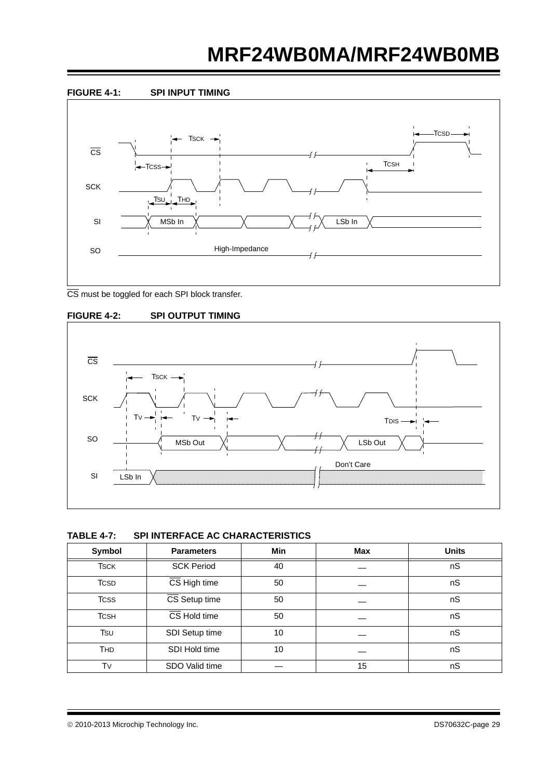<span id="page-28-0"></span>

CS must be toggled for each SPI block transfer.





#### <span id="page-28-1"></span>**TABLE 4-7: SPI INTERFACE AC CHARACTERISTICS**

| Symbol      | <b>Parameters</b>                 | <b>Min</b> | <b>Max</b> | <b>Units</b> |
|-------------|-----------------------------------|------------|------------|--------------|
| <b>TSCK</b> | <b>SCK Period</b>                 | 40         |            | nS           |
| <b>TCSD</b> | $\overline{\text{CS}}$ High time  | 50         |            | nS           |
| <b>TCSS</b> | $\overline{\text{CS}}$ Setup time | 50         |            | nS           |
| <b>TCSH</b> | $\overline{\text{CS}}$ Hold time  | 50         |            | nS           |
| Tsu         | SDI Setup time                    | 10         |            | nS           |
| <b>THD</b>  | SDI Hold time                     | 10         |            | nS           |
| <b>T</b> V  | SDO Valid time                    |            | 15         | nS           |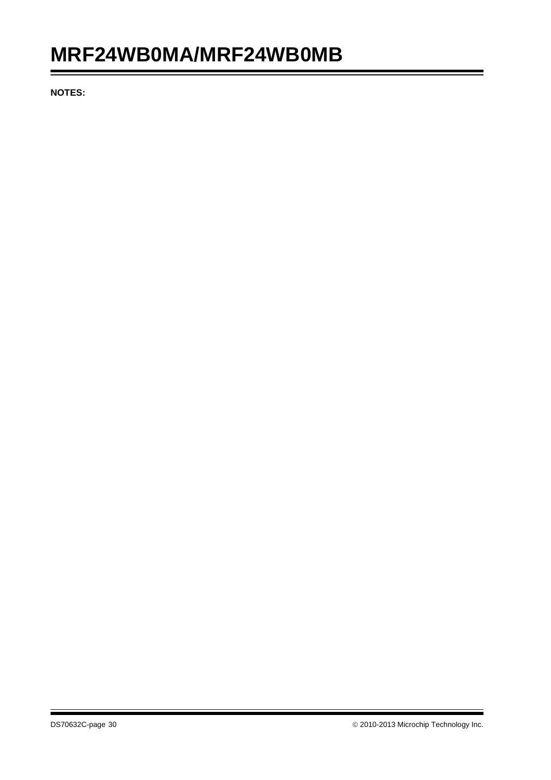**NOTES:**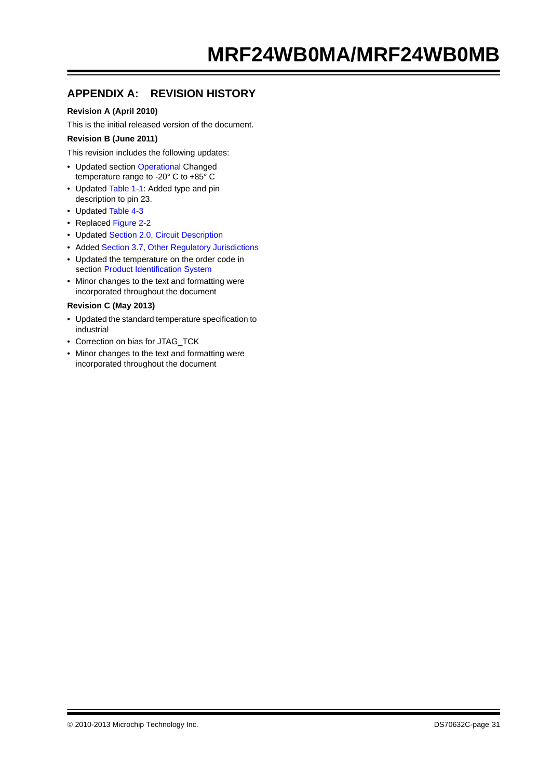# <span id="page-30-0"></span>**APPENDIX A: REVISION HISTORY**

#### **Revision A (April 2010)**

This is the initial released version of the document.

#### **Revision B (June 2011)**

This revision includes the following updates:

- Updated section [Operational](#page-0-0) Changed temperature range to -20° C to +85° C
- Updated [Table 1-1](#page-6-1): Added type and pin description to pin 23.
- Updated [Table 4-3](#page-26-2)
- Replaced [Figure 2-2](#page-11-1)
- Updated [Section 2.0, Circuit Description](#page-10-1)
- Added [Section 3.7, Other Regulatory Jurisdictions](#page-24-0)
- Updated the temperature on the order code in section [Product Identification System](#page-34-1)
- Minor changes to the text and formatting were incorporated throughout the document

#### **Revision C (May 2013)**

- Updated the standard temperature specification to industrial
- Correction on bias for JTAG\_TCK
- Minor changes to the text and formatting were incorporated throughout the document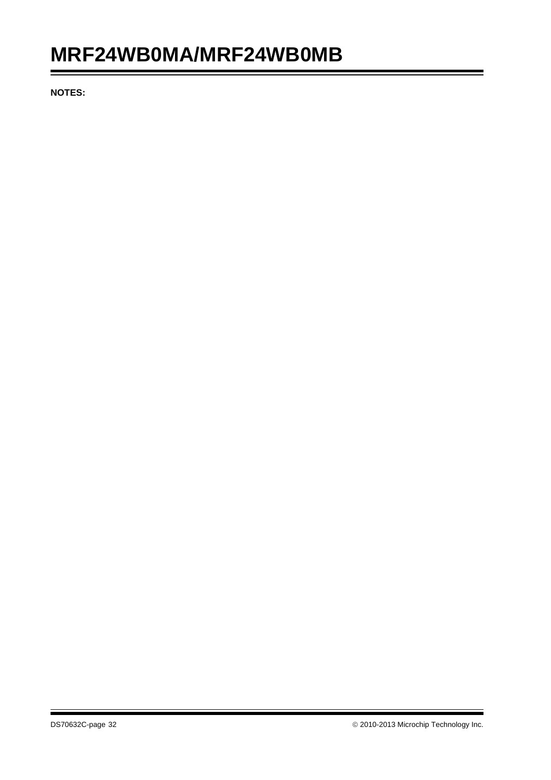**NOTES:**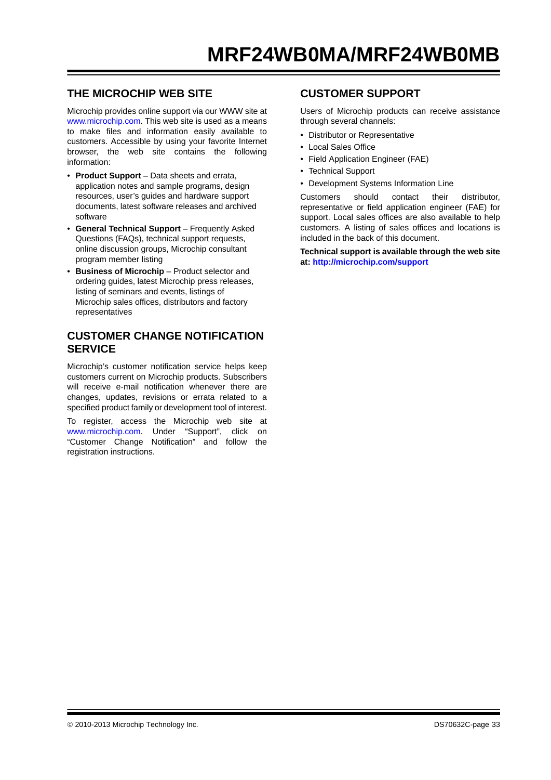# <span id="page-32-0"></span>**THE MICROCHIP WEB SITE**

[Microchip provides online support via our WWW site at](http://www.microchip.com) www.microchip.com. This web site is used as a means to make files and information easily available to customers. Accessible by using your favorite Internet browser, the web site contains the following information:

- **Product Support** Data sheets and errata, application notes and sample programs, design resources, user's guides and hardware support documents, latest software releases and archived software
- **General Technical Support** Frequently Asked Questions (FAQs), technical support requests, online discussion groups, Microchip consultant program member listing
- **Business of Microchip** Product selector and ordering guides, latest Microchip press releases, listing of seminars and events, listings of Microchip sales offices, distributors and factory representatives

### <span id="page-32-1"></span>**CUSTOMER CHANGE NOTIFICATION SERVICE**

Microchip's customer notification service helps keep customers current on Microchip products. Subscribers will receive e-mail notification whenever there are changes, updates, revisions or errata related to a specified product family or development tool of interest.

[To register, access the Microchip web site at](http://www.microchip.com) www.microchip.com. Under "Support", click on "Customer Change Notification" and follow the registration instructions.

### <span id="page-32-2"></span>**CUSTOMER SUPPORT**

Users of Microchip products can receive assistance through several channels:

- Distributor or Representative
- Local Sales Office
- Field Application Engineer (FAE)
- Technical Support
- Development Systems Information Line

Customers should contact their distributor, representative or field application engineer (FAE) for support. Local sales offices are also available to help customers. A listing of sales offices and locations is included in the back of this document.

**[Technical support is available through the web site](http://www.microchip.com) [at:](http://www.microchip.com) http://microchip.com/support**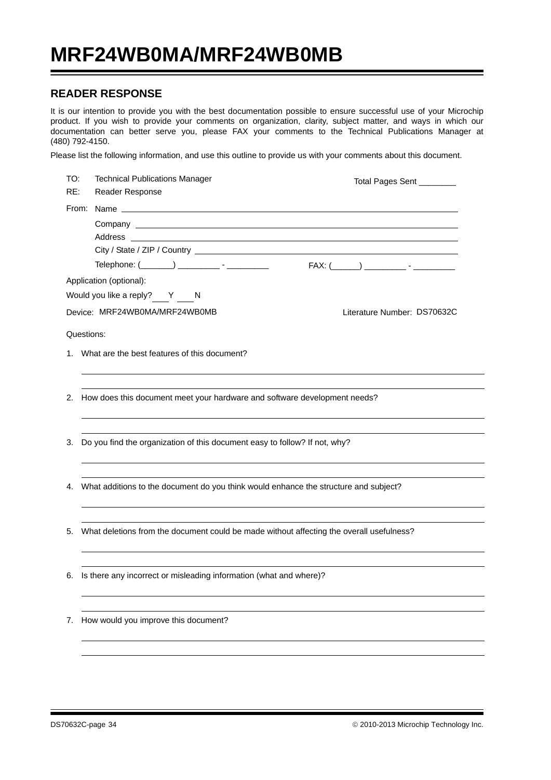### <span id="page-33-0"></span>**READER RESPONSE**

It is our intention to provide you with the best documentation possible to ensure successful use of your Microchip product. If you wish to provide your comments on organization, clarity, subject matter, and ways in which our documentation can better serve you, please FAX your comments to the Technical Publications Manager at (480) 792-4150.

Please list the following information, and use this outline to provide us with your comments about this document.

| TO:<br>RE: | <b>Technical Publications Manager</b><br>Reader Response                                   | Total Pages Sent ________   |  |  |  |  |
|------------|--------------------------------------------------------------------------------------------|-----------------------------|--|--|--|--|
|            |                                                                                            |                             |  |  |  |  |
|            |                                                                                            |                             |  |  |  |  |
|            | Telephone: $(\_\_)$ ____________ - ______________                                          |                             |  |  |  |  |
|            | Application (optional):                                                                    |                             |  |  |  |  |
|            | Would you like a reply? Y N                                                                |                             |  |  |  |  |
|            | Device: MRF24WB0MA/MRF24WB0MB                                                              | Literature Number: DS70632C |  |  |  |  |
| Questions: |                                                                                            |                             |  |  |  |  |
|            | 1. What are the best features of this document?                                            |                             |  |  |  |  |
|            |                                                                                            |                             |  |  |  |  |
|            |                                                                                            |                             |  |  |  |  |
|            | 2. How does this document meet your hardware and software development needs?               |                             |  |  |  |  |
|            |                                                                                            |                             |  |  |  |  |
| 3.         | Do you find the organization of this document easy to follow? If not, why?                 |                             |  |  |  |  |
|            |                                                                                            |                             |  |  |  |  |
|            |                                                                                            |                             |  |  |  |  |
|            | What additions to the document do you think would enhance the structure and subject?<br>4. |                             |  |  |  |  |
|            |                                                                                            |                             |  |  |  |  |
| 5.         | What deletions from the document could be made without affecting the overall usefulness?   |                             |  |  |  |  |
|            |                                                                                            |                             |  |  |  |  |
|            | 6. Is there any incorrect or misleading information (what and where)?                      |                             |  |  |  |  |
|            |                                                                                            |                             |  |  |  |  |
| 7.         | How would you improve this document?                                                       |                             |  |  |  |  |
|            |                                                                                            |                             |  |  |  |  |
|            |                                                                                            |                             |  |  |  |  |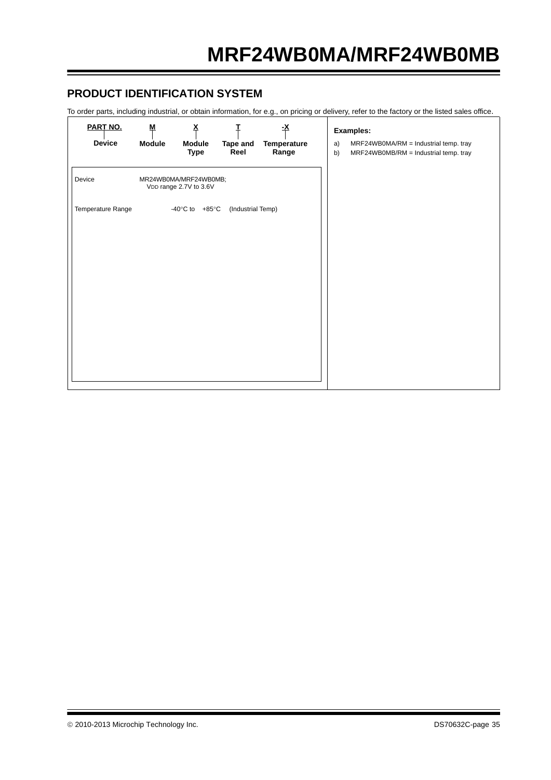# <span id="page-34-1"></span><span id="page-34-0"></span>**PRODUCT IDENTIFICATION SYSTEM**

To order parts, including industrial, or obtain information, for e.g., on pricing or delivery, refer to the factory or the listed sales office.

| PART NO.<br>Device | $\overline{\mathbf{M}}$<br><b>Module</b> | ×<br>Module<br><b>Type</b>                      | <b>Tape and</b><br>Reel | <u>-X</u><br>Temperature<br>Range | a)<br>b) | <b>Examples:</b><br>MRF24WB0MA/RM = Industrial temp. tray<br>MRF24WB0MB/RM = Industrial temp. tray |
|--------------------|------------------------------------------|-------------------------------------------------|-------------------------|-----------------------------------|----------|----------------------------------------------------------------------------------------------------|
| Device             |                                          | MR24WB0MA/MRF24WB0MB;<br>VDD range 2.7V to 3.6V |                         |                                   |          |                                                                                                    |
| Temperature Range  |                                          | -40 $\degree$ C to +85 $\degree$ C              | (Industrial Temp)       |                                   |          |                                                                                                    |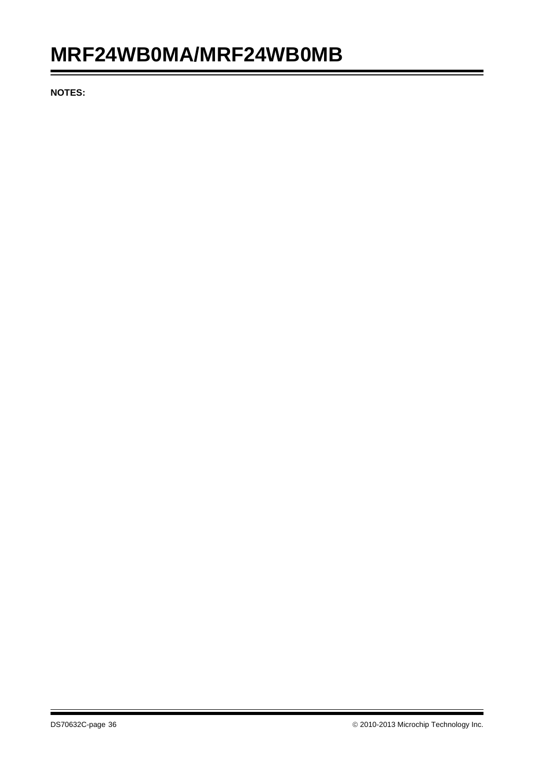**NOTES:**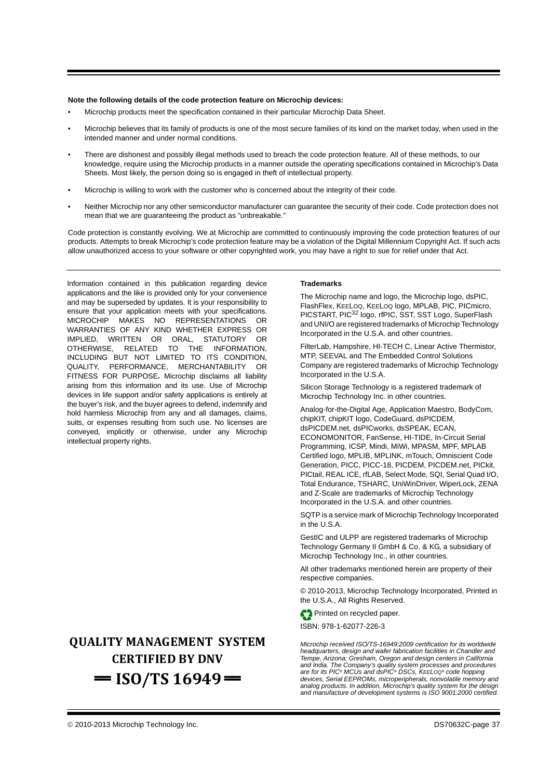#### **Note the following details of the code protection feature on Microchip devices:**

- Microchip products meet the specification contained in their particular Microchip Data Sheet.
- Microchip believes that its family of products is one of the most secure families of its kind on the market today, when used in the intended manner and under normal conditions.
- There are dishonest and possibly illegal methods used to breach the code protection feature. All of these methods, to our knowledge, require using the Microchip products in a manner outside the operating specifications contained in Microchip's Data Sheets. Most likely, the person doing so is engaged in theft of intellectual property.
- Microchip is willing to work with the customer who is concerned about the integrity of their code.
- Neither Microchip nor any other semiconductor manufacturer can guarantee the security of their code. Code protection does not mean that we are guaranteeing the product as "unbreakable."

Code protection is constantly evolving. We at Microchip are committed to continuously improving the code protection features of our products. Attempts to break Microchip's code protection feature may be a violation of the Digital Millennium Copyright Act. If such acts allow unauthorized access to your software or other copyrighted work, you may have a right to sue for relief under that Act.

Information contained in this publication regarding device applications and the like is provided only for your convenience and may be superseded by updates. It is your responsibility to ensure that your application meets with your specifications. MICROCHIP MAKES NO REPRESENTATIONS OR WARRANTIES OF ANY KIND WHETHER EXPRESS OR IMPLIED, WRITTEN OR ORAL, STATUTORY OR OTHERWISE, RELATED TO THE INFORMATION, INCLUDING BUT NOT LIMITED TO ITS CONDITION, QUALITY, PERFORMANCE, MERCHANTABILITY OR FITNESS FOR PURPOSE**.** Microchip disclaims all liability arising from this information and its use. Use of Microchip devices in life support and/or safety applications is entirely at the buyer's risk, and the buyer agrees to defend, indemnify and hold harmless Microchip from any and all damages, claims, suits, or expenses resulting from such use. No licenses are conveyed, implicitly or otherwise, under any Microchip intellectual property rights.

# **QUALITY MANAGEMENT SYSTEM CERTIFIED BY DNV**  $=$  **ISO/TS** 16949 $=$

#### **Trademarks**

The Microchip name and logo, the Microchip logo, dsPIC, FlashFlex, KEELOQ, KEELOQ logo, MPLAB, PIC, PICmicro, PICSTART, PIC<sup>32</sup> logo, rfPIC, SST, SST Logo, SuperFlash and UNI/O are registered trademarks of Microchip Technology Incorporated in the U.S.A. and other countries.

FilterLab, Hampshire, HI-TECH C, Linear Active Thermistor, MTP, SEEVAL and The Embedded Control Solutions Company are registered trademarks of Microchip Technology Incorporated in the U.S.A.

Silicon Storage Technology is a registered trademark of Microchip Technology Inc. in other countries.

Analog-for-the-Digital Age, Application Maestro, BodyCom, chipKIT, chipKIT logo, CodeGuard, dsPICDEM, dsPICDEM.net, dsPICworks, dsSPEAK, ECAN, ECONOMONITOR, FanSense, HI-TIDE, In-Circuit Serial Programming, ICSP, Mindi, MiWi, MPASM, MPF, MPLAB Certified logo, MPLIB, MPLINK, mTouch, Omniscient Code Generation, PICC, PICC-18, PICDEM, PICDEM.net, PICkit, PICtail, REAL ICE, rfLAB, Select Mode, SQI, Serial Quad I/O, Total Endurance, TSHARC, UniWinDriver, WiperLock, ZENA and Z-Scale are trademarks of Microchip Technology Incorporated in the U.S.A. and other countries.

SQTP is a service mark of Microchip Technology Incorporated in the U.S.A.

GestIC and ULPP are registered trademarks of Microchip Technology Germany II GmbH & Co. & KG, a subsidiary of Microchip Technology Inc., in other countries.

All other trademarks mentioned herein are property of their respective companies.

© 2010-2013, Microchip Technology Incorporated, Printed in the U.S.A., All Rights Reserved.

Printed on recycled paper.

ISBN: 978-1-62077-226-3

*Microchip received ISO/TS-16949:2009 certification for its worldwide headquarters, design and wafer fabrication facilities in Chandler and Tempe, Arizona; Gresham, Oregon and design centers in California and India. The Company's quality system processes and procedures are for its PIC® MCUs and dsPIC® DSCs, KEELOQ® code hopping devices, Serial EEPROMs, microperipherals, nonvolatile memory and analog products. In addition, Microchip's quality system for the design and manufacture of development systems is ISO 9001:2000 certified.*